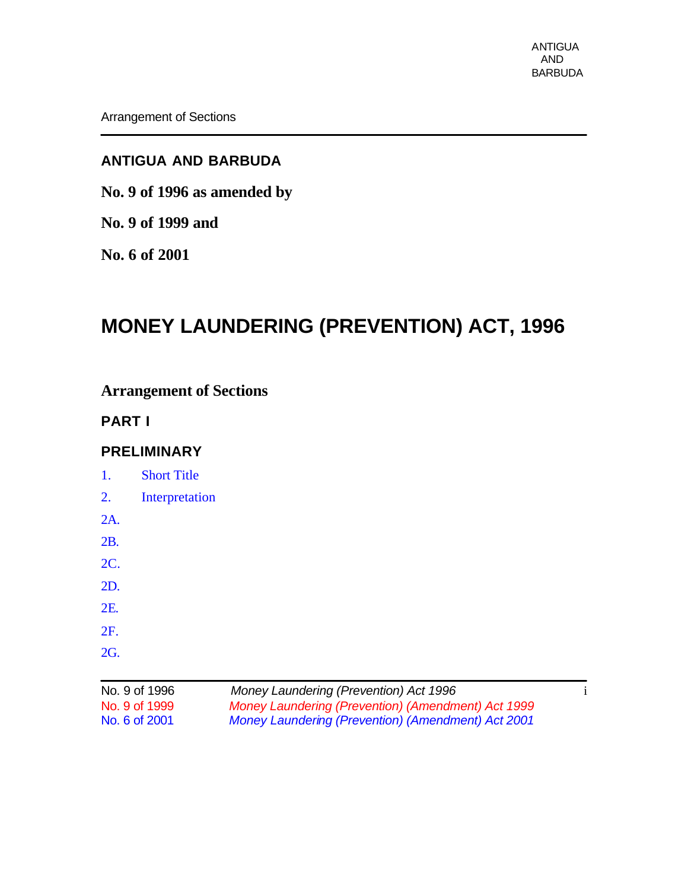## **ANTIGUA AND BARBUDA**

**No. 9 of 1996 as amended by**

**No. 9 of 1999 and**

**No. 6 of 2001**

# **MONEY LAUNDERING (PREVENTION) ACT, 1996**

## **Arrangement of Sections**

## **PART I**

## **PRELIMINARY**

|            | $N_0$ 0 of 1006    | Maney Laundering (Prevention) Act 1006 |  |
|------------|--------------------|----------------------------------------|--|
|            |                    |                                        |  |
| <b>2G.</b> |                    |                                        |  |
| 2F.        |                    |                                        |  |
| 2E.        |                    |                                        |  |
| 2D.        |                    |                                        |  |
| <b>2C.</b> |                    |                                        |  |
| 2B.        |                    |                                        |  |
| 2A.        |                    |                                        |  |
| 2.         | Interpretation     |                                        |  |
| 1.         | <b>Short Title</b> |                                        |  |

| No. 9 of 1996 | Money Laundering (Prevention) Act 1996             |  |
|---------------|----------------------------------------------------|--|
| No. 9 of 1999 | Money Laundering (Prevention) (Amendment) Act 1999 |  |
| No. 6 of 2001 | Money Laundering (Prevention) (Amendment) Act 2001 |  |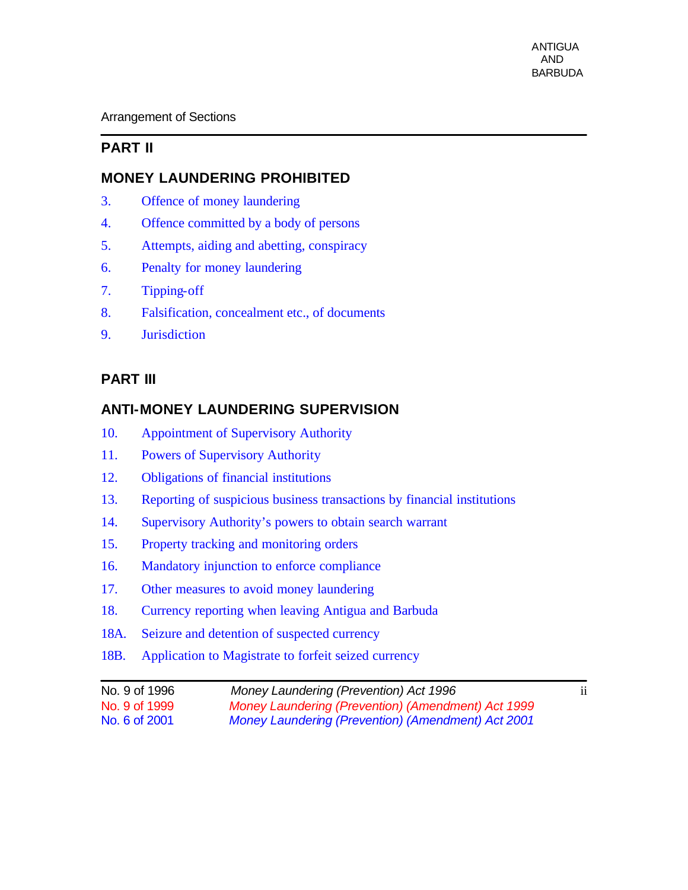## **PART II**

### **MONEY LAUNDERING PROHIBITED**

- 3. Offence of money laundering
- 4. Offence committed by a body of persons
- 5. Attempts, aiding and abetting, conspiracy
- 6. Penalty for money laundering
- 7. Tipping-off
- 8. Falsification, concealment etc., of documents
- 9. Jurisdiction

### **PART III**

### **ANTI-MONEY LAUNDERING SUPERVISION**

- 10. Appointment of Supervisory Authority
- 11. Powers of Supervisory Authority
- 12. Obligations of financial institutions
- 13. Reporting of suspicious business transactions by financial institutions
- 14. Supervisory Authority's powers to obtain search warrant
- 15. Property tracking and monitoring orders
- 16. Mandatory injunction to enforce compliance
- 17. Other measures to avoid money laundering
- 18. Currency reporting when leaving Antigua and Barbuda
- 18A. Seizure and detention of suspected currency
- 18B. Application to Magistrate to forfeit seized currency

| No. 9 of 1996 | Money Laundering (Prevention) Act 1996                    | $\cdot \cdot$<br>11 |
|---------------|-----------------------------------------------------------|---------------------|
| No. 9 of 1999 | Money Laundering (Prevention) (Amendment) Act 1999        |                     |
| No. 6 of 2001 | <b>Money Laundering (Prevention) (Amendment) Act 2001</b> |                     |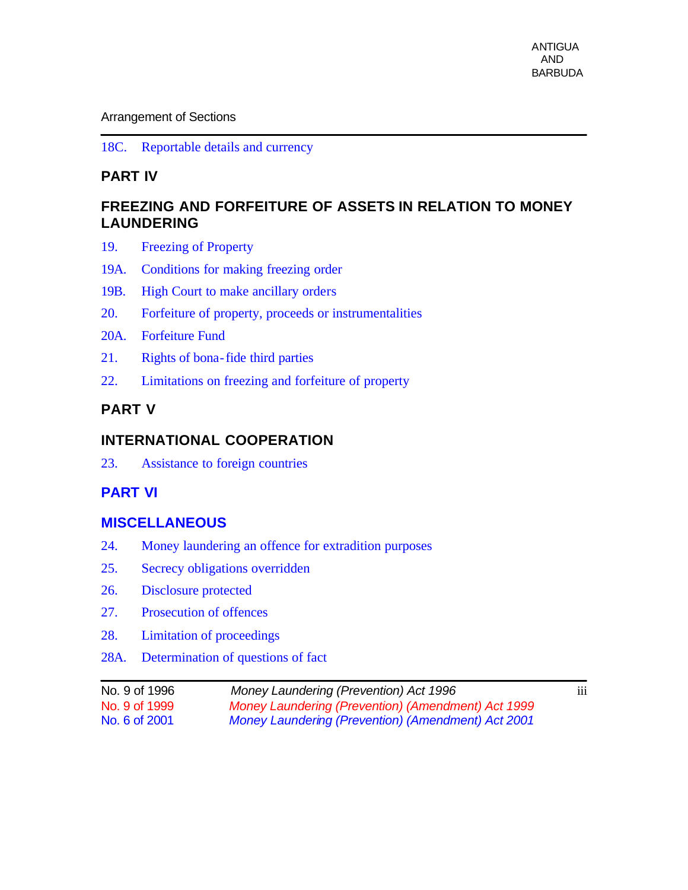18C. Reportable details and currency

### **PART IV**

### **FREEZING AND FORFEITURE OF ASSETS IN RELATION TO MONEY LAUNDERING**

- 19. Freezing of Property
- 19A. Conditions for making freezing order
- 19B. High Court to make ancillary orders
- 20. Forfeiture of property, proceeds or instrumentalities
- 20A. Forfeiture Fund
- 21. Rights of bona-fide third parties
- 22. Limitations on freezing and forfeiture of property

## **PART V**

### **INTERNATIONAL COOPERATION**

23. Assistance to foreign countries

### **PART VI**

#### **MISCELLANEOUS**

- 24. Money laundering an offence for extradition purposes
- 25. Secrecy obligations overridden
- 26. Disclosure protected
- 27. Prosecution of offences
- 28. Limitation of proceedings
- 28A. Determination of questions of fact

| No. 9 of 1996 | Money Laundering (Prevention) Act 1996             | $\cdots$<br>111 |
|---------------|----------------------------------------------------|-----------------|
| No. 9 of 1999 | Money Laundering (Prevention) (Amendment) Act 1999 |                 |
| No. 6 of 2001 | Money Laundering (Prevention) (Amendment) Act 2001 |                 |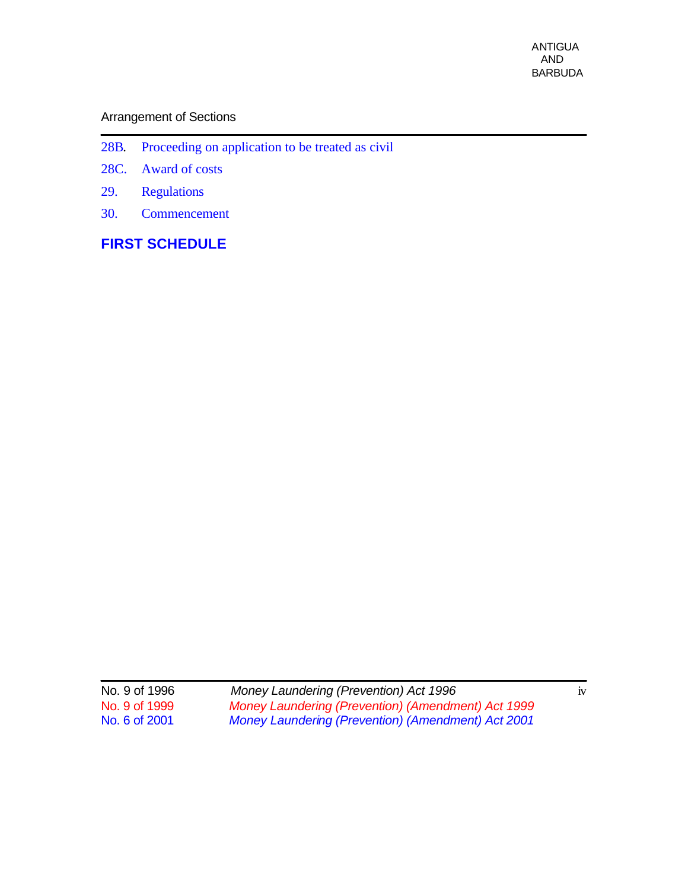- 28B. Proceeding on application to be treated as civil
- 28C. Award of costs
- 29. Regulations
- 30. Commencement

## **FIRST SCHEDULE**

| No. 9 of 1996 | Money Laundering (Prevention) Act 1996             | 1V |
|---------------|----------------------------------------------------|----|
| No. 9 of 1999 | Money Laundering (Prevention) (Amendment) Act 1999 |    |
| No. 6 of 2001 | Money Laundering (Prevention) (Amendment) Act 2001 |    |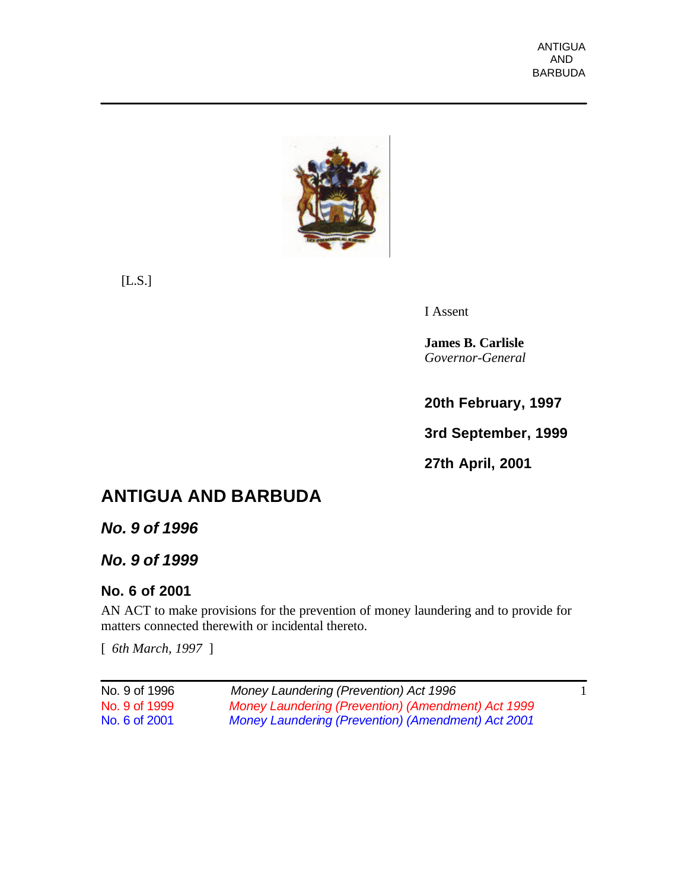

[L.S.]

I Assent

**James B. Carlisle** *Governor-General*

**20th February, 1997**

**3rd September, 1999**

**27th April, 2001**

# **ANTIGUA AND BARBUDA**

*No. 9 of 1996*

*No. 9 of 1999*

## **No. 6 of 2001**

AN ACT to make provisions for the prevention of money laundering and to provide for matters connected therewith or incidental thereto.

[ *6th March, 1997* ]

| No. 9 of 1996 | Money Laundering (Prevention) Act 1996                    |  |
|---------------|-----------------------------------------------------------|--|
| No. 9 of 1999 | Money Laundering (Prevention) (Amendment) Act 1999        |  |
| No. 6 of 2001 | <b>Money Laundering (Prevention) (Amendment) Act 2001</b> |  |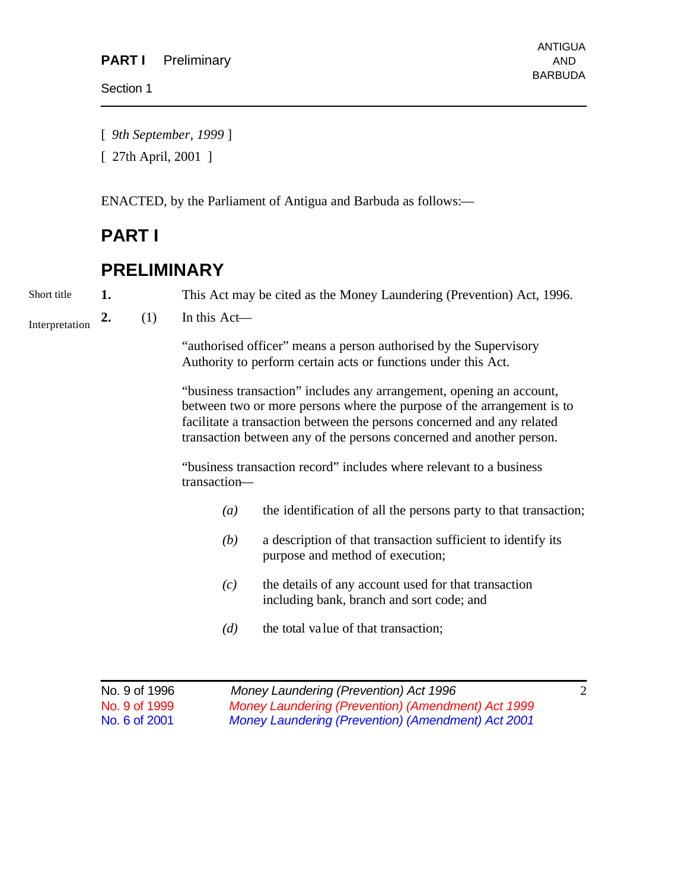Section 1

[ *9th September, 1999* ]

[ 27th April, 2001 ]

ENACTED, by the Parliament of Antigua and Barbuda as follows:—

## **PART I**

## **PRELIMINARY**

Short title

**1.** This Act may be cited as the Money Laundering (Prevention) Act, 1996.

**2.** (1) In this Act— Interpretation

> "authorised officer" means a person authorised by the Supervisory Authority to perform certain acts or functions under this Act.

"business transaction" includes any arrangement, opening an account, between two or more persons where the purpose of the arrangement is to facilitate a transaction between the persons concerned and any related transaction between any of the persons concerned and another person.

"business transaction record" includes where relevant to a business transaction—

- *(a)* the identification of all the persons party to that transaction;
- *(b)* a description of that transaction sufficient to identify its purpose and method of execution;
- *(c)* the details of any account used for that transaction including bank, branch and sort code; and
- *(d)* the total value of that transaction;

| No. 9 of 1996 | Money Laundering (Prevention) Act 1996             |  |
|---------------|----------------------------------------------------|--|
| No. 9 of 1999 | Money Laundering (Prevention) (Amendment) Act 1999 |  |
| No. 6 of 2001 | Money Laundering (Prevention) (Amendment) Act 2001 |  |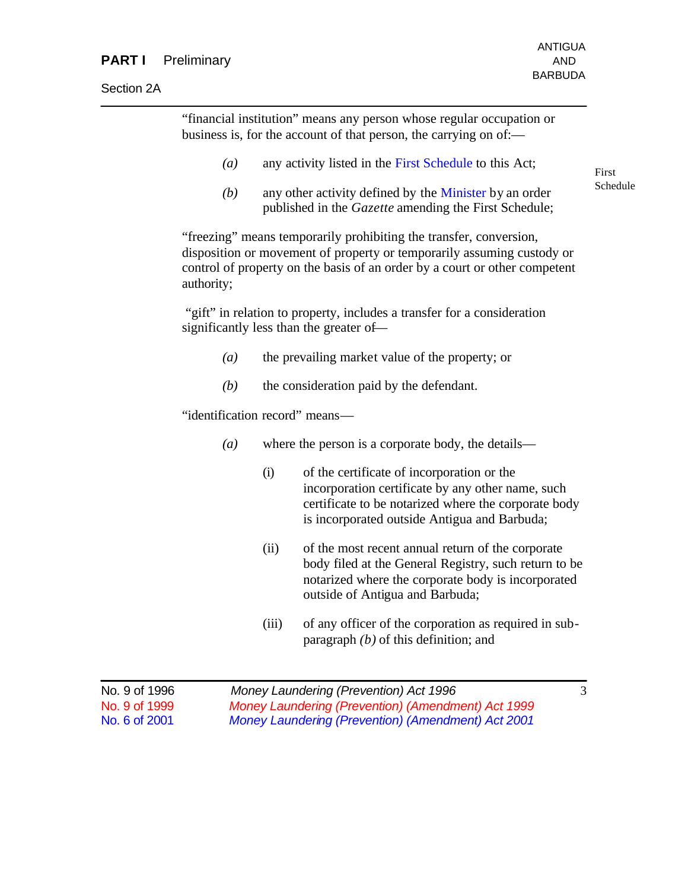#### **PART I** Preliminary **AND** AND

Section 2A

"financial institution" means any person whose regular occupation or business is, for the account of that person, the carrying on of:—

- *(a)* any activity listed in the First Schedule to this Act;
- *(b)* any other activity defined by the Minister by an order published in the *Gazette* amending the First Schedule;

"freezing" means temporarily prohibiting the transfer, conversion, disposition or movement of property or temporarily assuming custody or control of property on the basis of an order by a court or other competent authority;

"gift" in relation to property, includes a transfer for a consideration significantly less than the greater of—

- *(a)* the prevailing market value of the property; or
- *(b)* the consideration paid by the defendant.

"identification record" means—

- *(a)* where the person is a corporate body, the details—
	- (i) of the certificate of incorporation or the incorporation certificate by any other name, such certificate to be notarized where the corporate body is incorporated outside Antigua and Barbuda;
	- (ii) of the most recent annual return of the corporate body filed at the General Registry, such return to be notarized where the corporate body is incorporated outside of Antigua and Barbuda;
	- (iii) of any officer of the corporation as required in subparagraph *(b)* of this definition; and

| No. 9 of 1996 | Money Laundering (Prevention) Act 1996             |  |
|---------------|----------------------------------------------------|--|
| No. 9 of 1999 | Money Laundering (Prevention) (Amendment) Act 1999 |  |
| No. 6 of 2001 | Money Laundering (Prevention) (Amendment) Act 2001 |  |

First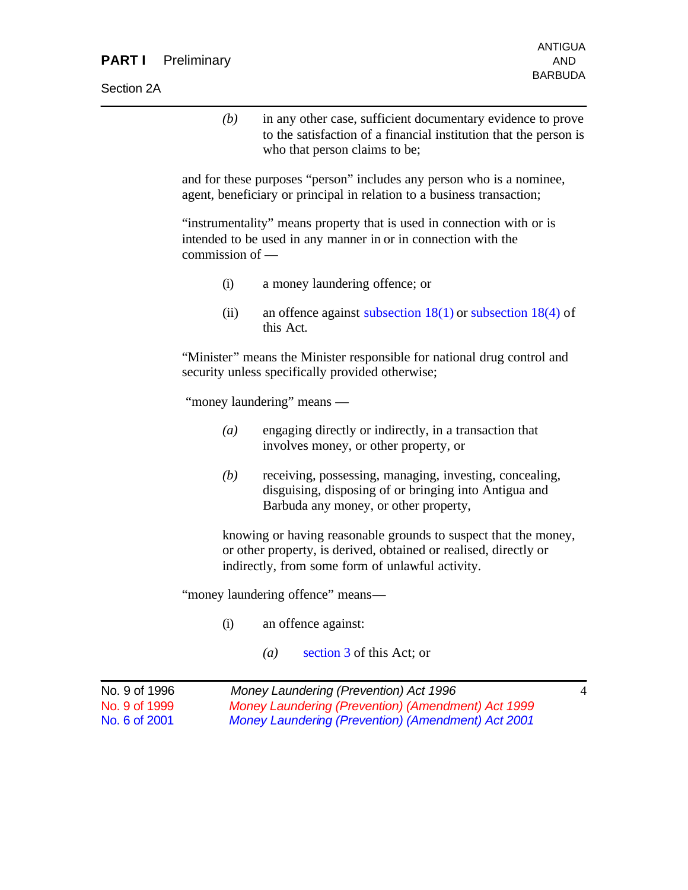#### **PART I** Preliminary **AND** AND

Section 2A

*(b)* in any other case, sufficient documentary evidence to prove to the satisfaction of a financial institution that the person is who that person claims to be;

and for these purposes "person" includes any person who is a nominee, agent, beneficiary or principal in relation to a business transaction;

"instrumentality" means property that is used in connection with or is intended to be used in any manner in or in connection with the commission of —

- (i) a money laundering offence; or
- (ii) an offence against subsection  $18(1)$  or subsection  $18(4)$  of this Act.

"Minister" means the Minister responsible for national drug control and security unless specifically provided otherwise;

"money laundering" means —

- *(a)* engaging directly or indirectly, in a transaction that involves money, or other property, or
- *(b)* receiving, possessing, managing, investing, concealing, disguising, disposing of or bringing into Antigua and Barbuda any money, or other property,

knowing or having reasonable grounds to suspect that the money, or other property, is derived, obtained or realised, directly or indirectly, from some form of unlawful activity.

"money laundering offence" means—

- (i) an offence against:
	- *(a)* section 3 of this Act; or

| No. 9 of 1996 | Money Laundering (Prevention) Act 1996             | $\overline{4}$ |
|---------------|----------------------------------------------------|----------------|
| No. 9 of 1999 | Money Laundering (Prevention) (Amendment) Act 1999 |                |
| No. 6 of 2001 | Money Laundering (Prevention) (Amendment) Act 2001 |                |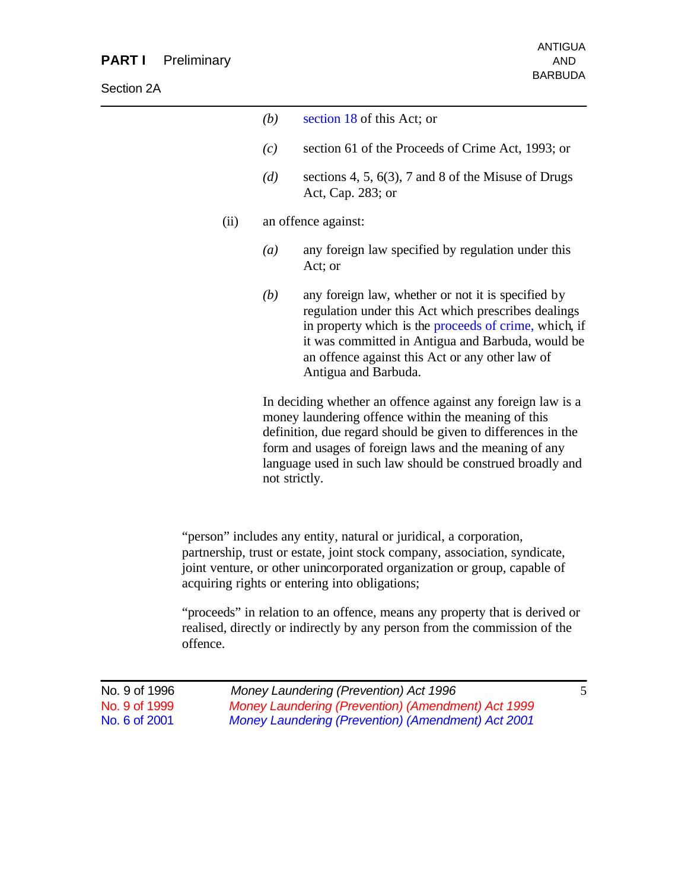| (b)                                                                                                                                                                                                                                                                                                                        | section 18 of this Act; or                                                                                                                                                                                                                                                                         |  |
|----------------------------------------------------------------------------------------------------------------------------------------------------------------------------------------------------------------------------------------------------------------------------------------------------------------------------|----------------------------------------------------------------------------------------------------------------------------------------------------------------------------------------------------------------------------------------------------------------------------------------------------|--|
| (c)                                                                                                                                                                                                                                                                                                                        | section 61 of the Proceeds of Crime Act, 1993; or                                                                                                                                                                                                                                                  |  |
| (d)                                                                                                                                                                                                                                                                                                                        | sections 4, 5, $6(3)$ , 7 and 8 of the Misuse of Drugs<br>Act, Cap. 283; or                                                                                                                                                                                                                        |  |
|                                                                                                                                                                                                                                                                                                                            | an offence against:                                                                                                                                                                                                                                                                                |  |
| $\left(a\right)$                                                                                                                                                                                                                                                                                                           | any foreign law specified by regulation under this<br>Act; or                                                                                                                                                                                                                                      |  |
| (b)                                                                                                                                                                                                                                                                                                                        | any foreign law, whether or not it is specified by<br>regulation under this Act which prescribes dealings<br>in property which is the proceeds of crime, which, if<br>it was committed in Antigua and Barbuda, would be<br>an offence against this Act or any other law of<br>Antigua and Barbuda. |  |
| In deciding whether an offence against any foreign law is a<br>money laundering offence within the meaning of this<br>definition, due regard should be given to differences in the<br>form and usages of foreign laws and the meaning of any<br>language used in such law should be construed broadly and<br>not strictly. |                                                                                                                                                                                                                                                                                                    |  |
|                                                                                                                                                                                                                                                                                                                            |                                                                                                                                                                                                                                                                                                    |  |

"person" includes any entity, natural or juridical, a corporation, partnership, trust or estate, joint stock company, association, syndicate, joint venture, or other unincorporated organization or group, capable of acquiring rights or entering into obligations;

"proceeds" in relation to an offence, means any property that is derived or realised, directly or indirectly by any person from the commission of the offence.

| No. 9 of 1996 | Money Laundering (Prevention) Act 1996                    |  |
|---------------|-----------------------------------------------------------|--|
| No. 9 of 1999 | Money Laundering (Prevention) (Amendment) Act 1999        |  |
| No. 6 of 2001 | <b>Money Laundering (Prevention) (Amendment) Act 2001</b> |  |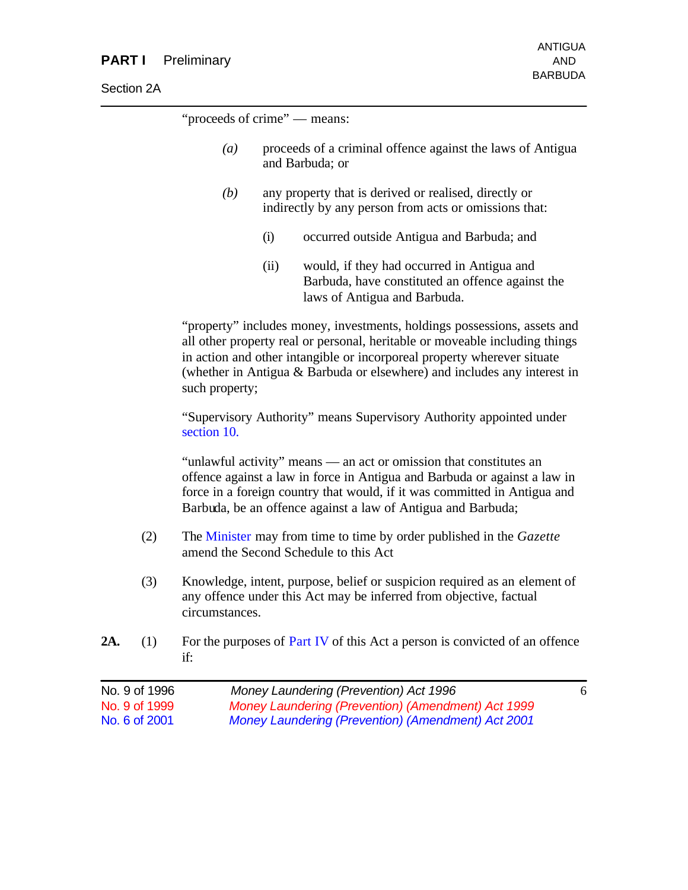| <b>Section 2A</b> |  |
|-------------------|--|
|                   |  |

"proceeds of crime" — means:

- *(a)* proceeds of a criminal offence against the laws of Antigua and Barbuda; or
- *(b)* any property that is derived or realised, directly or indirectly by any person from acts or omissions that:
	- (i) occurred outside Antigua and Barbuda; and
	- (ii) would, if they had occurred in Antigua and Barbuda, have constituted an offence against the laws of Antigua and Barbuda.

"property" includes money, investments, holdings possessions, assets and all other property real or personal, heritable or moveable including things in action and other intangible or incorporeal property wherever situate (whether in Antigua & Barbuda or elsewhere) and includes any interest in such property;

"Supervisory Authority" means Supervisory Authority appointed under section 10.

"unlawful activity" means — an act or omission that constitutes an offence against a law in force in Antigua and Barbuda or against a law in force in a foreign country that would, if it was committed in Antigua and Barbuda, be an offence against a law of Antigua and Barbuda;

- (2) The Minister may from time to time by order published in the *Gazette* amend the Second Schedule to this Act
- (3) Knowledge, intent, purpose, belief or suspicion required as an element of any offence under this Act may be inferred from objective, factual circumstances.
- **2A.** (1) For the purposes of Part IV of this Act a person is convicted of an offence if:

| No. 9 of 1996 | Money Laundering (Prevention) Act 1996             | 6 |
|---------------|----------------------------------------------------|---|
| No. 9 of 1999 | Money Laundering (Prevention) (Amendment) Act 1999 |   |
| No. 6 of 2001 | Money Laundering (Prevention) (Amendment) Act 2001 |   |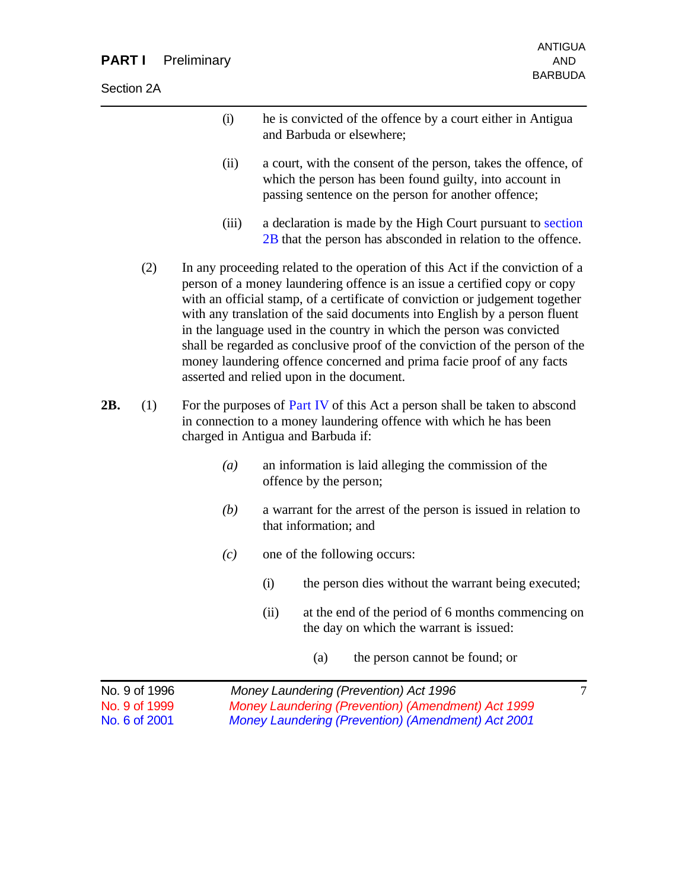## **PART I** Preliminary **AND** AND

Section 2A

|     |                                                 | (i)              | he is convicted of the offence by a court either in Antigua<br>and Barbuda or elsewhere;                                                                                                                                                                                                                                                                                                                                                                                                                                                                                                                |
|-----|-------------------------------------------------|------------------|---------------------------------------------------------------------------------------------------------------------------------------------------------------------------------------------------------------------------------------------------------------------------------------------------------------------------------------------------------------------------------------------------------------------------------------------------------------------------------------------------------------------------------------------------------------------------------------------------------|
|     |                                                 | (ii)             | a court, with the consent of the person, takes the offence, of<br>which the person has been found guilty, into account in<br>passing sentence on the person for another offence;                                                                                                                                                                                                                                                                                                                                                                                                                        |
|     |                                                 | (iii)            | a declaration is made by the High Court pursuant to section<br>2B that the person has absconded in relation to the offence.                                                                                                                                                                                                                                                                                                                                                                                                                                                                             |
|     | (2)                                             |                  | In any proceeding related to the operation of this Act if the conviction of a<br>person of a money laundering offence is an issue a certified copy or copy<br>with an official stamp, of a certificate of conviction or judgement together<br>with any translation of the said documents into English by a person fluent<br>in the language used in the country in which the person was convicted<br>shall be regarded as conclusive proof of the conviction of the person of the<br>money laundering offence concerned and prima facie proof of any facts<br>asserted and relied upon in the document. |
| 2B. | (1)                                             |                  | For the purposes of Part IV of this Act a person shall be taken to abscond<br>in connection to a money laundering offence with which he has been<br>charged in Antigua and Barbuda if:                                                                                                                                                                                                                                                                                                                                                                                                                  |
|     |                                                 | $\left(a\right)$ | an information is laid alleging the commission of the<br>offence by the person;                                                                                                                                                                                                                                                                                                                                                                                                                                                                                                                         |
|     |                                                 | (b)              | a warrant for the arrest of the person is issued in relation to<br>that information; and                                                                                                                                                                                                                                                                                                                                                                                                                                                                                                                |
|     |                                                 | (c)              | one of the following occurs:                                                                                                                                                                                                                                                                                                                                                                                                                                                                                                                                                                            |
|     |                                                 |                  | the person dies without the warrant being executed;<br>(i)                                                                                                                                                                                                                                                                                                                                                                                                                                                                                                                                              |
|     |                                                 |                  | at the end of the period of 6 months commencing on<br>(ii)<br>the day on which the warrant is issued:                                                                                                                                                                                                                                                                                                                                                                                                                                                                                                   |
|     |                                                 |                  | the person cannot be found; or<br>(a)                                                                                                                                                                                                                                                                                                                                                                                                                                                                                                                                                                   |
|     | No. 9 of 1996<br>No. 9 of 1999<br>No. 6 of 2001 |                  | Money Laundering (Prevention) Act 1996<br>7<br>Money Laundering (Prevention) (Amendment) Act 1999<br>Money Laundering (Prevention) (Amendment) Act 2001                                                                                                                                                                                                                                                                                                                                                                                                                                                 |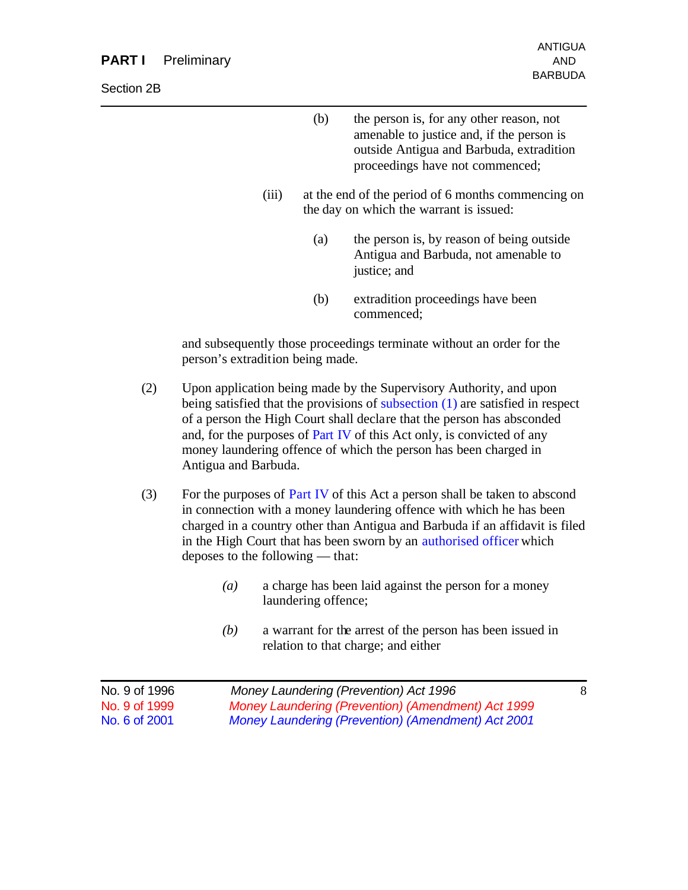#### **PART I** Preliminary AND

- (b) the person is, for any other reason, not amenable to justice and, if the person is outside Antigua and Barbuda, extradition proceedings have not commenced;
- (iii) at the end of the period of 6 months commencing on the day on which the warrant is issued:
	- (a) the person is, by reason of being outside Antigua and Barbuda, not amenable to justice; and
	- (b) extradition proceedings have been commenced;

and subsequently those proceedings terminate without an order for the person's extradition being made.

- (2) Upon application being made by the Supervisory Authority, and upon being satisfied that the provisions of subsection (1) are satisfied in respect of a person the High Court shall declare that the person has absconded and, for the purposes of Part IV of this Act only, is convicted of any money laundering offence of which the person has been charged in Antigua and Barbuda.
- (3) For the purposes of Part IV of this Act a person shall be taken to abscond in connection with a money laundering offence with which he has been charged in a country other than Antigua and Barbuda if an affidavit is filed in the High Court that has been sworn by an authorised officer which deposes to the following — that:
	- *(a)* a charge has been laid against the person for a money laundering offence;
	- *(b)* a warrant for the arrest of the person has been issued in relation to that charge; and either

| No. 9 of 1996 | Money Laundering (Prevention) Act 1996             |  |
|---------------|----------------------------------------------------|--|
| No. 9 of 1999 | Money Laundering (Prevention) (Amendment) Act 1999 |  |
| No. 6 of 2001 | Money Laundering (Prevention) (Amendment) Act 2001 |  |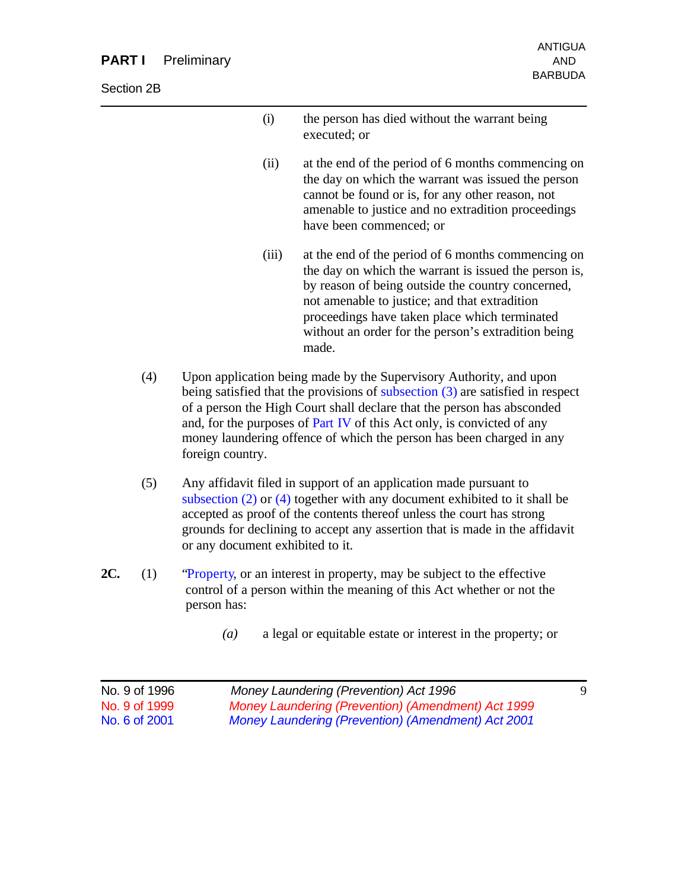#### **PART I** Preliminary AND

Section 2B

| (i) | the person has died without the warrant being |
|-----|-----------------------------------------------|
|     | executed; or                                  |

- (ii) at the end of the period of 6 months commencing on the day on which the warrant was issued the person cannot be found or is, for any other reason, not amenable to justice and no extradition proceedings have been commenced; or
- (iii) at the end of the period of 6 months commencing on the day on which the warrant is issued the person is, by reason of being outside the country concerned, not amenable to justice; and that extradition proceedings have taken place which terminated without an order for the person's extradition being made.
- (4) Upon application being made by the Supervisory Authority, and upon being satisfied that the provisions of subsection (3) are satisfied in respect of a person the High Court shall declare that the person has absconded and, for the purposes of Part IV of this Act only, is convicted of any money laundering offence of which the person has been charged in any foreign country.
- (5) Any affidavit filed in support of an application made pursuant to subsection (2) or (4) together with any document exhibited to it shall be accepted as proof of the contents thereof unless the court has strong grounds for declining to accept any assertion that is made in the affidavit or any document exhibited to it.
- **2C.** (1) "Property, or an interest in property, may be subject to the effective control of a person within the meaning of this Act whether or not the person has:
	- *(a)* a legal or equitable estate or interest in the property; or

| No. 9 of 1996 | Money Laundering (Prevention) Act 1996             |  |
|---------------|----------------------------------------------------|--|
| No. 9 of 1999 | Money Laundering (Prevention) (Amendment) Act 1999 |  |
| No. 6 of 2001 | Money Laundering (Prevention) (Amendment) Act 2001 |  |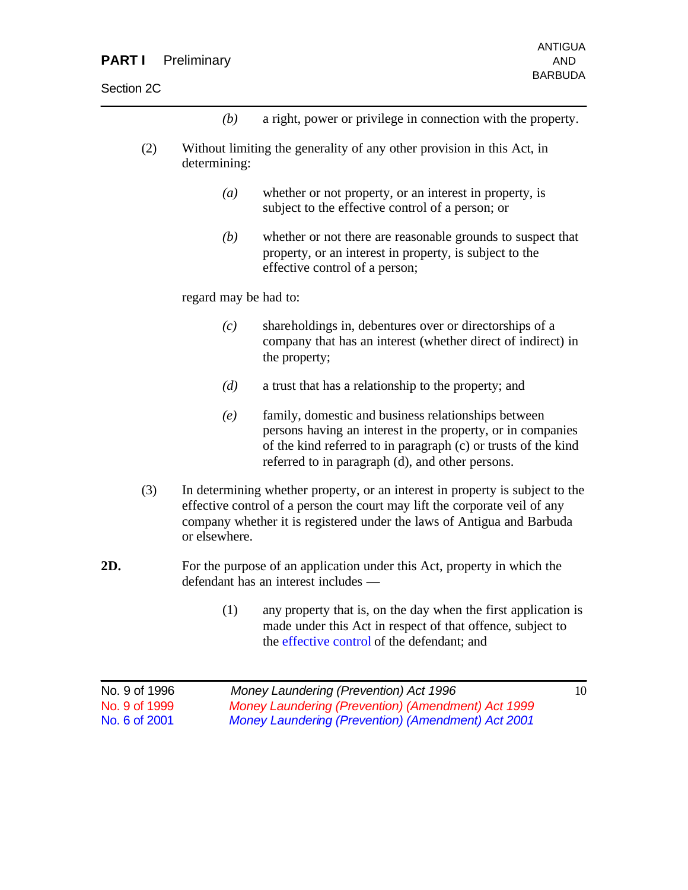*(b)* a right, power or privilege in connection with the property.

- (2) Without limiting the generality of any other provision in this Act, in determining:
	- *(a)* whether or not property, or an interest in property, is subject to the effective control of a person; or
	- *(b)* whether or not there are reasonable grounds to suspect that property, or an interest in property, is subject to the effective control of a person;

regard may be had to:

- *(c)* shareholdings in, debentures over or directorships of a company that has an interest (whether direct of indirect) in the property;
- *(d)* a trust that has a relationship to the property; and
- *(e)* family, domestic and business relationships between persons having an interest in the property, or in companies of the kind referred to in paragraph (c) or trusts of the kind referred to in paragraph (d), and other persons.
- (3) In determining whether property, or an interest in property is subject to the effective control of a person the court may lift the corporate veil of any company whether it is registered under the laws of Antigua and Barbuda or elsewhere.
- **2D.** For the purpose of an application under this Act, property in which the defendant has an interest includes —
	- (1) any property that is, on the day when the first application is made under this Act in respect of that offence, subject to the effective control of the defendant; and

| No. 9 of 1996  | Money Laundering (Prevention) Act 1996             | 10 |
|----------------|----------------------------------------------------|----|
| No. 9 of 1999  | Money Laundering (Prevention) (Amendment) Act 1999 |    |
| No. 6 of 2001. | Money Laundering (Prevention) (Amendment) Act 2001 |    |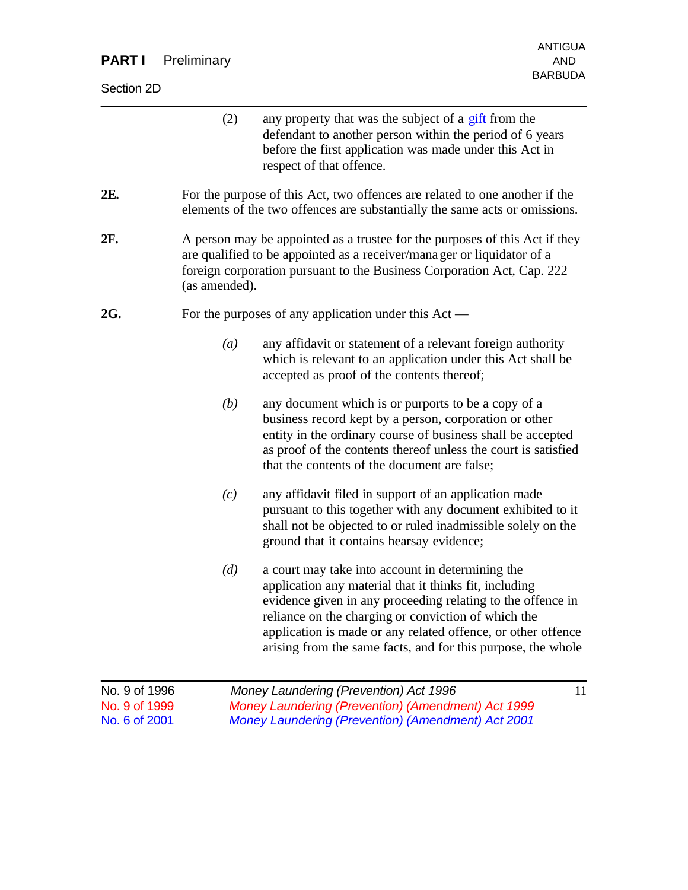| <b>PART I</b>                           | Preliminary   | <b>AND</b>                                                                                                                                                                                                                                                                                                                                                       |
|-----------------------------------------|---------------|------------------------------------------------------------------------------------------------------------------------------------------------------------------------------------------------------------------------------------------------------------------------------------------------------------------------------------------------------------------|
| Section 2D                              |               | <b>BARBUDA</b>                                                                                                                                                                                                                                                                                                                                                   |
|                                         | (2)           | any property that was the subject of a gift from the<br>defendant to another person within the period of 6 years<br>before the first application was made under this Act in<br>respect of that offence.                                                                                                                                                          |
| 2E.                                     |               | For the purpose of this Act, two offences are related to one another if the<br>elements of the two offences are substantially the same acts or omissions.                                                                                                                                                                                                        |
| 2F.                                     | (as amended). | A person may be appointed as a trustee for the purposes of this Act if they<br>are qualified to be appointed as a receiver/mana ger or liquidator of a<br>foreign corporation pursuant to the Business Corporation Act, Cap. 222                                                                                                                                 |
| 2G.                                     |               | For the purposes of any application under this $Act$ —                                                                                                                                                                                                                                                                                                           |
|                                         | (a)           | any affidavit or statement of a relevant foreign authority<br>which is relevant to an application under this Act shall be<br>accepted as proof of the contents thereof;                                                                                                                                                                                          |
|                                         | (b)           | any document which is or purports to be a copy of a<br>business record kept by a person, corporation or other<br>entity in the ordinary course of business shall be accepted<br>as proof of the contents thereof unless the court is satisfied<br>that the contents of the document are false;                                                                   |
|                                         | (c)           | any affidavit filed in support of an application made<br>pursuant to this together with any document exhibited to it<br>shall not be objected to or ruled inadmissible solely on the<br>ground that it contains hearsay evidence;                                                                                                                                |
|                                         | (d)           | a court may take into account in determining the<br>application any material that it thinks fit, including<br>evidence given in any proceeding relating to the offence in<br>reliance on the charging or conviction of which the<br>application is made or any related offence, or other offence<br>arising from the same facts, and for this purpose, the whole |
| No. 9 of 1996<br>$N_0$ $\Omega$ of 1000 |               | Money Laundering (Prevention) Act 1996<br>11<br>Jorina (Drovantian) (A                                                                                                                                                                                                                                                                                           |

No. 9 of 1999 *Money Laundering (Prevention) (Amendment) Act 1999 Money Laundering (Prevention) (Amendment) Act 2001* 

ANTIGUA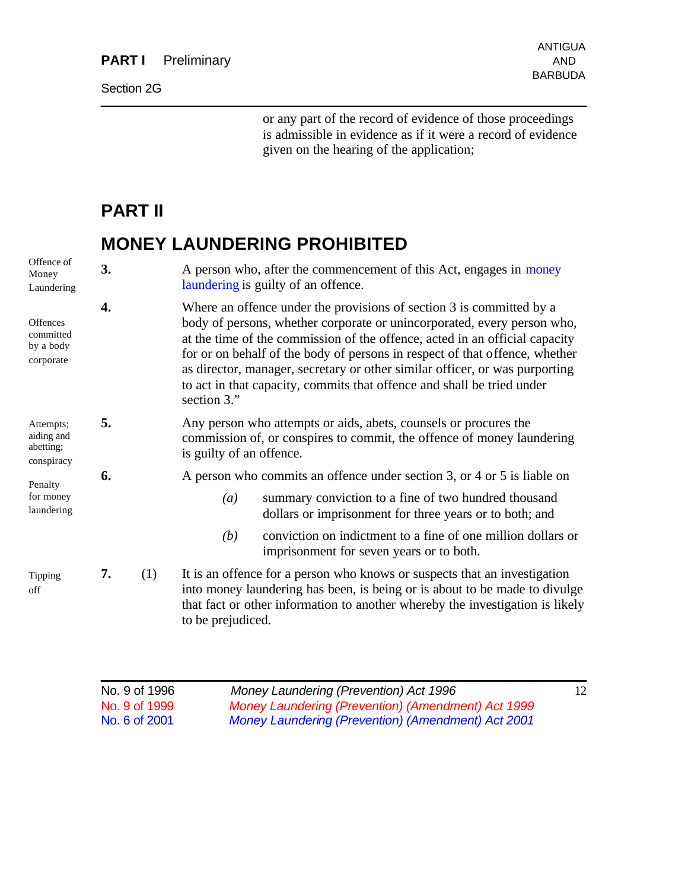#### Section 2G

or any part of the record of evidence of those proceedings is admissible in evidence as if it were a record of evidence given on the hearing of the application;

## **PART II**

# **MONEY LAUNDERING PROHIBITED**

| Offence of<br>Money<br>Laundering                      | 3. |     | laundering is guilty of an offence.                                                                                                                                                                                                                                                                                                                                                                                                                                                   | A person who, after the commencement of this Act, engages in money                                                                                                                                                                       |  |
|--------------------------------------------------------|----|-----|---------------------------------------------------------------------------------------------------------------------------------------------------------------------------------------------------------------------------------------------------------------------------------------------------------------------------------------------------------------------------------------------------------------------------------------------------------------------------------------|------------------------------------------------------------------------------------------------------------------------------------------------------------------------------------------------------------------------------------------|--|
| <b>Offences</b><br>committed<br>by a body<br>corporate | 4. |     | Where an offence under the provisions of section 3 is committed by a<br>body of persons, whether corporate or unincorporated, every person who,<br>at the time of the commission of the offence, acted in an official capacity<br>for or on behalf of the body of persons in respect of that offence, whether<br>as director, manager, secretary or other similar officer, or was purporting<br>to act in that capacity, commits that offence and shall be tried under<br>section 3." |                                                                                                                                                                                                                                          |  |
| Attempts;<br>aiding and<br>abetting;<br>conspiracy     | 5. |     | is guilty of an offence.                                                                                                                                                                                                                                                                                                                                                                                                                                                              | Any person who attempts or aids, abets, counsels or procures the<br>commission of, or conspires to commit, the offence of money laundering                                                                                               |  |
| Penalty                                                | 6. |     |                                                                                                                                                                                                                                                                                                                                                                                                                                                                                       | A person who commits an offence under section 3, or 4 or 5 is liable on                                                                                                                                                                  |  |
| for money<br>laundering                                |    |     | (a)                                                                                                                                                                                                                                                                                                                                                                                                                                                                                   | summary conviction to a fine of two hundred thousand<br>dollars or imprisonment for three years or to both; and                                                                                                                          |  |
|                                                        |    |     | (b)                                                                                                                                                                                                                                                                                                                                                                                                                                                                                   | conviction on indictment to a fine of one million dollars or<br>imprisonment for seven years or to both.                                                                                                                                 |  |
| Tipping<br>off                                         | 7. | (1) | to be prejudiced.                                                                                                                                                                                                                                                                                                                                                                                                                                                                     | It is an offence for a person who knows or suspects that an investigation<br>into money laundering has been, is being or is about to be made to divulge<br>that fact or other information to another whereby the investigation is likely |  |
|                                                        |    |     |                                                                                                                                                                                                                                                                                                                                                                                                                                                                                       |                                                                                                                                                                                                                                          |  |

| No. 9 of 1996 | Money Laundering (Prevention) Act 1996             | 12 |
|---------------|----------------------------------------------------|----|
| No. 9 of 1999 | Money Laundering (Prevention) (Amendment) Act 1999 |    |
| No. 6 of 2001 | Money Laundering (Prevention) (Amendment) Act 2001 |    |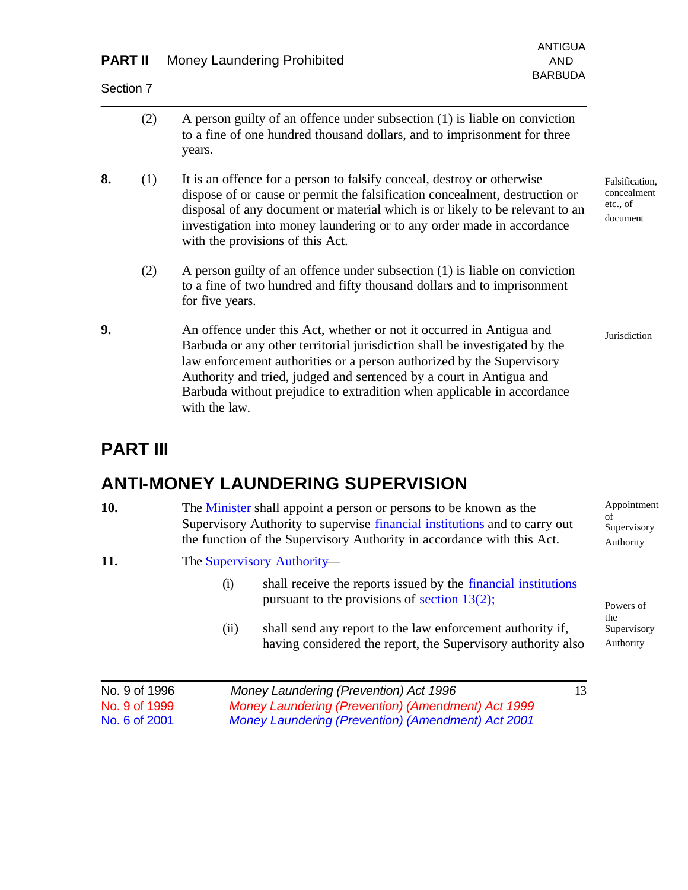### **PART II** Money Laundering Prohibited AND

Section 7

|    | (2) | A person guilty of an offence under subsection (1) is liable on conviction<br>to a fine of one hundred thousand dollars, and to imprisonment for three<br>years.                                                                                                                                                                                                                              |                                                       |
|----|-----|-----------------------------------------------------------------------------------------------------------------------------------------------------------------------------------------------------------------------------------------------------------------------------------------------------------------------------------------------------------------------------------------------|-------------------------------------------------------|
| 8. | (1) | It is an offence for a person to falsify conceal, destroy or otherwise<br>dispose of or cause or permit the falsification concealment, destruction or<br>disposal of any document or material which is or likely to be relevant to an<br>investigation into money laundering or to any order made in accordance<br>with the provisions of this Act.                                           | Falsification,<br>concealment<br>etc., of<br>document |
|    | (2) | A person guilty of an offence under subsection (1) is liable on conviction<br>to a fine of two hundred and fifty thousand dollars and to imprisonment<br>for five years.                                                                                                                                                                                                                      |                                                       |
| 9. |     | An offence under this Act, whether or not it occurred in Antigua and<br>Barbuda or any other territorial jurisdiction shall be investigated by the<br>law enforcement authorities or a person authorized by the Supervisory<br>Authority and tried, judged and sentenced by a court in Antigua and<br>Barbuda without prejudice to extradition when applicable in accordance<br>with the law. | Jurisdiction                                          |

# **PART III**

## **ANTI-MONEY LAUNDERING SUPERVISION**

| 10. | The Minister shall appoint a person or persons to be known as the<br>Supervisory Authority to supervise financial institutions and to carry out<br>the function of the Supervisory Authority in accordance with this Act. | Appointment<br>Supervisory<br>Authority |
|-----|---------------------------------------------------------------------------------------------------------------------------------------------------------------------------------------------------------------------------|-----------------------------------------|
| 11. | The Supervisory Authority—                                                                                                                                                                                                |                                         |
|     | shall receive the reports issued by the financial institutions<br>(i)                                                                                                                                                     |                                         |

pursuant to the provisions of section 13(2);

(ii) shall send any report to the law enforcement authority if, having considered the report, the Supervisory authority also

| No. 9 of 1996 | Money Laundering (Prevention) Act 1996             | 13 |
|---------------|----------------------------------------------------|----|
| No. 9 of 1999 | Money Laundering (Prevention) (Amendment) Act 1999 |    |
| No. 6 of 2001 | Money Laundering (Prevention) (Amendment) Act 2001 |    |

Powers of the Supervisory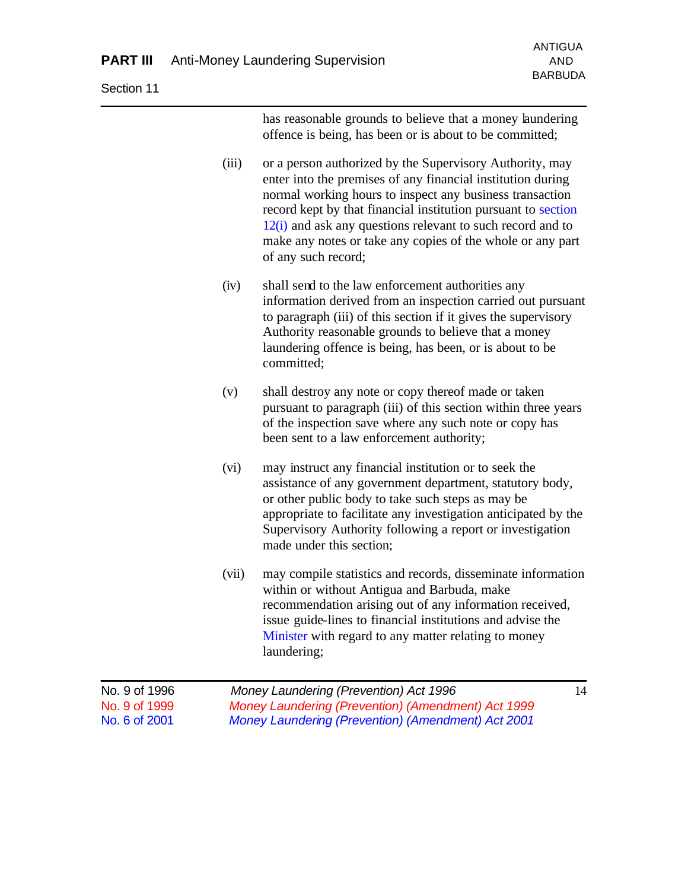Section 11

has reasonable grounds to believe that a money laundering offence is being, has been or is about to be committed;

- (iii) or a person authorized by the Supervisory Authority, may enter into the premises of any financial institution during normal working hours to inspect any business transaction record kept by that financial institution pursuant to section  $12(i)$  and ask any questions relevant to such record and to make any notes or take any copies of the whole or any part of any such record;
- (iv) shall send to the law enforcement authorities any information derived from an inspection carried out pursuant to paragraph (iii) of this section if it gives the supervisory Authority reasonable grounds to believe that a money laundering offence is being, has been, or is about to be committed;
- (v) shall destroy any note or copy thereof made or taken pursuant to paragraph (iii) of this section within three years of the inspection save where any such note or copy has been sent to a law enforcement authority;
- (vi) may instruct any financial institution or to seek the assistance of any government department, statutory body, or other public body to take such steps as may be appropriate to facilitate any investigation anticipated by the Supervisory Authority following a report or investigation made under this section;
- (vii) may compile statistics and records, disseminate information within or without Antigua and Barbuda, make recommendation arising out of any information received, issue guide-lines to financial institutions and advise the Minister with regard to any matter relating to money laundering;

| No. 9 of 1996 | Money Laundering (Prevention) Act 1996             | 14 |
|---------------|----------------------------------------------------|----|
| No. 9 of 1999 | Money Laundering (Prevention) (Amendment) Act 1999 |    |
| No. 6 of 2001 | Money Laundering (Prevention) (Amendment) Act 2001 |    |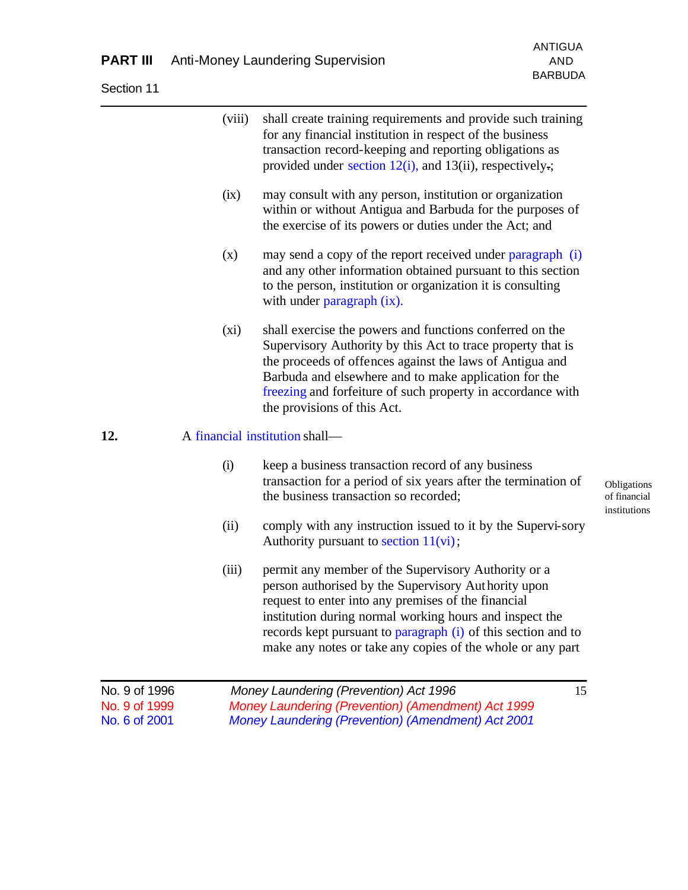Section 11

|                                                 | (viii)<br>(ix) | shall create training requirements and provide such training<br>for any financial institution in respect of the business<br>transaction record-keeping and reporting obligations as<br>provided under section $12(i)$ , and $13(ii)$ , respectively.;<br>may consult with any person, institution or organization<br>within or without Antigua and Barbuda for the purposes of<br>the exercise of its powers or duties under the Act; and<br>may send a copy of the report received under paragraph (i) |                                             |
|-------------------------------------------------|----------------|---------------------------------------------------------------------------------------------------------------------------------------------------------------------------------------------------------------------------------------------------------------------------------------------------------------------------------------------------------------------------------------------------------------------------------------------------------------------------------------------------------|---------------------------------------------|
|                                                 | (x)            | and any other information obtained pursuant to this section<br>to the person, institution or organization it is consulting<br>with under paragraph (ix).                                                                                                                                                                                                                                                                                                                                                |                                             |
|                                                 | $(x_i)$        | shall exercise the powers and functions conferred on the<br>Supervisory Authority by this Act to trace property that is<br>the proceeds of offences against the laws of Antigua and<br>Barbuda and elsewhere and to make application for the<br>freezing and forfeiture of such property in accordance with<br>the provisions of this Act.                                                                                                                                                              |                                             |
| 12.                                             |                | A financial institution shall—                                                                                                                                                                                                                                                                                                                                                                                                                                                                          |                                             |
|                                                 | (i)            | keep a business transaction record of any business<br>transaction for a period of six years after the termination of<br>the business transaction so recorded;                                                                                                                                                                                                                                                                                                                                           | Obligations<br>of financial<br>institutions |
|                                                 | (ii)           | comply with any instruction issued to it by the Supervi-sory<br>Authority pursuant to section $11(vi)$ ;                                                                                                                                                                                                                                                                                                                                                                                                |                                             |
|                                                 | (iii)          | permit any member of the Supervisory Authority or a<br>person authorised by the Supervisory Authority upon<br>request to enter into any premises of the financial<br>institution during normal working hours and inspect the<br>records kept pursuant to paragraph (i) of this section and to<br>make any notes or take any copies of the whole or any part                                                                                                                                             |                                             |
| No. 9 of 1996<br>No. 9 of 1999<br>No. 6 of 2001 |                | 15<br>Money Laundering (Prevention) Act 1996<br>Money Laundering (Prevention) (Amendment) Act 1999<br><b>Money Laundering (Prevention) (Amendment) Act 2001</b>                                                                                                                                                                                                                                                                                                                                         |                                             |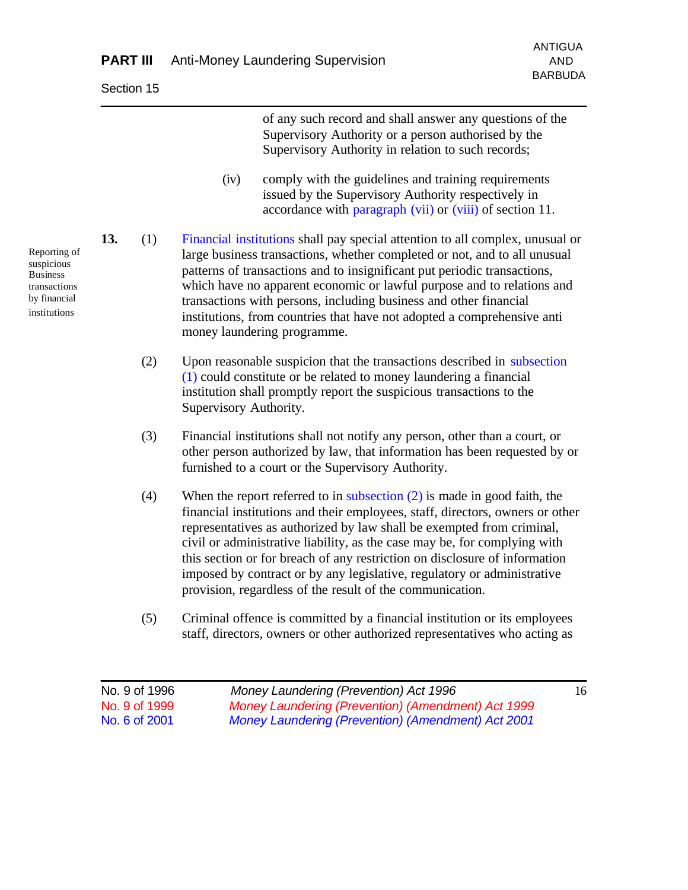No. 9 of 1996 *Money Laundering (Prevention) Act 1996* 16 of any such record and shall answer any questions of the Supervisory Authority or a person authorised by the Supervisory Authority in relation to such records; (iv) comply with the guidelines and training requirements issued by the Supervisory Authority respectively in accordance with paragraph (vii) or (viii) of section 11. **13.** (1) Financial institutions shall pay special attention to all complex, unusual or large business transactions, whether completed or not, and to all unusual patterns of transactions and to insignificant put periodic transactions, which have no apparent economic or lawful purpose and to relations and transactions with persons, including business and other financial institutions, from countries that have not adopted a comprehensive anti money laundering programme. (2) Upon reasonable suspicion that the transactions described in subsection (1) could constitute or be related to money laundering a financial institution shall promptly report the suspicious transactions to the Supervisory Authority. (3) Financial institutions shall not notify any person, other than a court, or other person authorized by law, that information has been requested by or furnished to a court or the Supervisory Authority. (4) When the report referred to in subsection  $(2)$  is made in good faith, the financial institutions and their employees, staff, directors, owners or other representatives as authorized by law shall be exempted from criminal, civil or administrative liability, as the case may be, for complying with this section or for breach of any restriction on disclosure of information imposed by contract or by any legislative, regulatory or administrative provision, regardless of the result of the communication. (5) Criminal offence is committed by a financial institution or its employees staff, directors, owners or other authorized representatives who acting as

No. 9 of 1999 *Money Laundering (Prevention) (Amendment) Act 1999* No. 6 of 2001 *Money Laundering (Prevention) (Amendment) Act 2001*

Reporting of suspicious Business transactions by financial institutions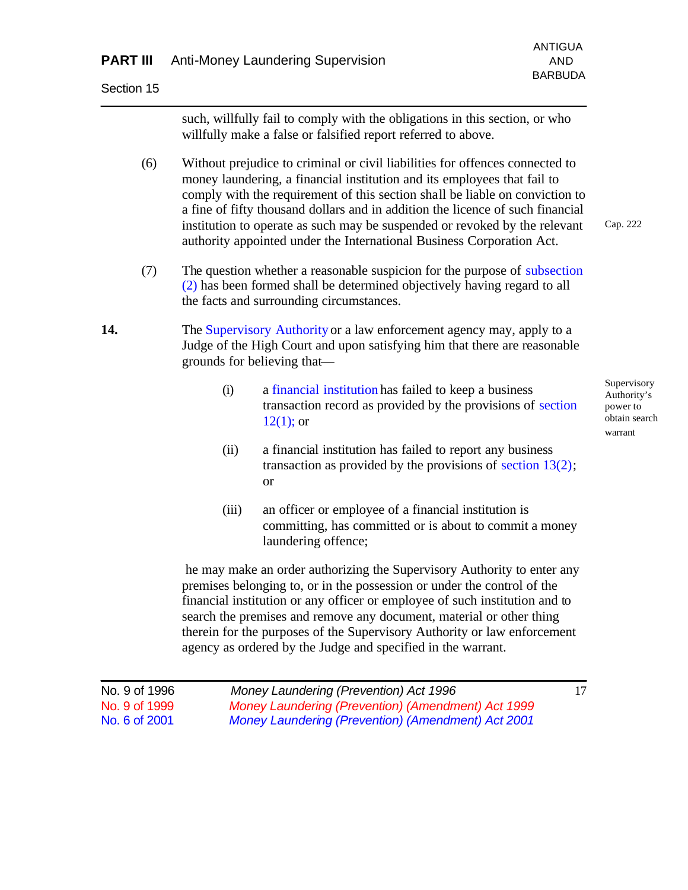Section 15

such, willfully fail to comply with the obligations in this section, or who willfully make a false or falsified report referred to above.

- (6) Without prejudice to criminal or civil liabilities for offences connected to money laundering, a financial institution and its employees that fail to comply with the requirement of this section shall be liable on conviction to a fine of fifty thousand dollars and in addition the licence of such financial institution to operate as such may be suspended or revoked by the relevant authority appointed under the International Business Corporation Act. Cap. 222
- (7) The question whether a reasonable suspicion for the purpose of subsection (2) has been formed shall be determined objectively having regard to all the facts and surrounding circumstances.

#### **14.** The Supervisory Authority or a law enforcement agency may, apply to a Judge of the High Court and upon satisfying him that there are reasonable grounds for believing that—

- (i) a financial institution has failed to keep a business transaction record as provided by the provisions of section  $12(1)$ ; or
- (ii) a financial institution has failed to report any business transaction as provided by the provisions of section 13(2); or
- (iii) an officer or employee of a financial institution is committing, has committed or is about to commit a money laundering offence;

 he may make an order authorizing the Supervisory Authority to enter any premises belonging to, or in the possession or under the control of the financial institution or any officer or employee of such institution and to search the premises and remove any document, material or other thing therein for the purposes of the Supervisory Authority or law enforcement agency as ordered by the Judge and specified in the warrant.

| No. 9 of 1996 | Money Laundering (Prevention) Act 1996             |  |
|---------------|----------------------------------------------------|--|
| No. 9 of 1999 | Money Laundering (Prevention) (Amendment) Act 1999 |  |
| No. 6 of 2001 | Money Laundering (Prevention) (Amendment) Act 2001 |  |

Supervisory Authority's power to obtain search warrant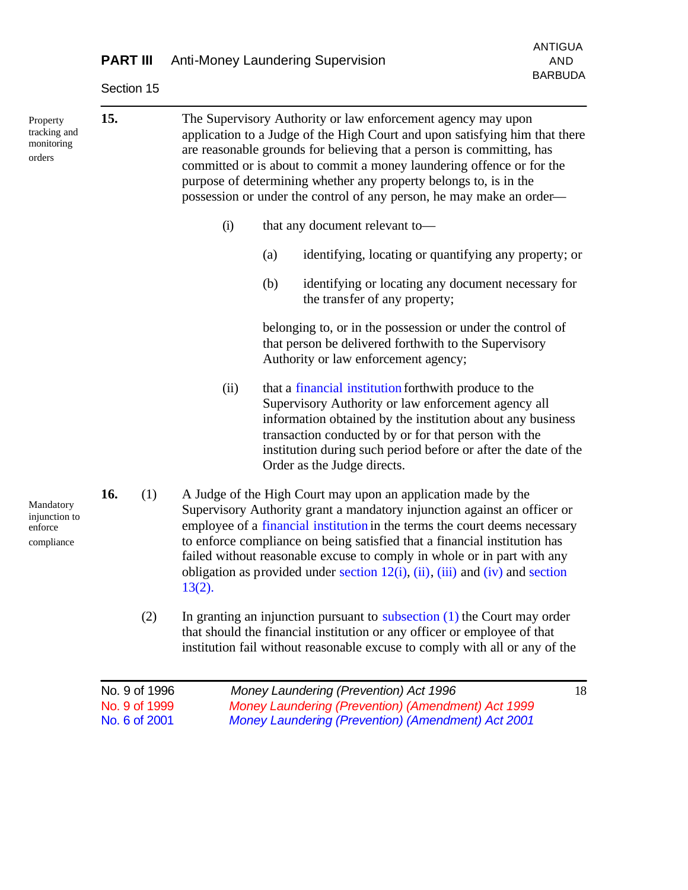|                                                     | <b>PART III</b> |           |     | <b>Anti-Money Laundering Supervision</b>                                                                                                                                                                                                                                                                                                                                                                                                                           |                |  |
|-----------------------------------------------------|-----------------|-----------|-----|--------------------------------------------------------------------------------------------------------------------------------------------------------------------------------------------------------------------------------------------------------------------------------------------------------------------------------------------------------------------------------------------------------------------------------------------------------------------|----------------|--|
|                                                     | Section 15      |           |     |                                                                                                                                                                                                                                                                                                                                                                                                                                                                    | <b>BARBUDA</b> |  |
| Property<br>tracking and<br>monitoring<br>orders    | 15.             |           |     | The Supervisory Authority or law enforcement agency may upon<br>application to a Judge of the High Court and upon satisfying him that there<br>are reasonable grounds for believing that a person is committing, has<br>committed or is about to commit a money laundering offence or for the<br>purpose of determining whether any property belongs to, is in the<br>possession or under the control of any person, he may make an order—                         |                |  |
|                                                     |                 | (i)       |     | that any document relevant to-                                                                                                                                                                                                                                                                                                                                                                                                                                     |                |  |
|                                                     |                 |           | (a) | identifying, locating or quantifying any property; or                                                                                                                                                                                                                                                                                                                                                                                                              |                |  |
|                                                     |                 |           | (b) | identifying or locating any document necessary for<br>the transfer of any property;                                                                                                                                                                                                                                                                                                                                                                                |                |  |
|                                                     |                 |           |     | belonging to, or in the possession or under the control of<br>that person be delivered forthwith to the Supervisory<br>Authority or law enforcement agency;                                                                                                                                                                                                                                                                                                        |                |  |
|                                                     |                 | (ii)      |     | that a financial institution forthwith produce to the<br>Supervisory Authority or law enforcement agency all<br>information obtained by the institution about any business<br>transaction conducted by or for that person with the<br>institution during such period before or after the date of the<br>Order as the Judge directs.                                                                                                                                |                |  |
| Mandatory<br>injunction to<br>enforce<br>compliance | 16.<br>(1)      | $13(2)$ . |     | A Judge of the High Court may upon an application made by the<br>Supervisory Authority grant a mandatory injunction against an officer or<br>employee of a financial institution in the terms the court deems necessary<br>to enforce compliance on being satisfied that a financial institution has<br>failed without reasonable excuse to comply in whole or in part with any<br>obligation as provided under section $12(i)$ , (ii), (iii) and (iv) and section |                |  |
|                                                     | (2)             |           |     | In granting an injunction pursuant to subsection $(1)$ the Court may order<br>that should the financial institution or any officer or employee of that<br>institution fail without reasonable excuse to comply with all or any of the                                                                                                                                                                                                                              |                |  |

ANTIGUA

| No. 9 of 1996 | Money Laundering (Prevention) Act 1996             | 18 |
|---------------|----------------------------------------------------|----|
| No. 9 of 1999 | Money Laundering (Prevention) (Amendment) Act 1999 |    |
| No. 6 of 2001 | Money Laundering (Prevention) (Amendment) Act 2001 |    |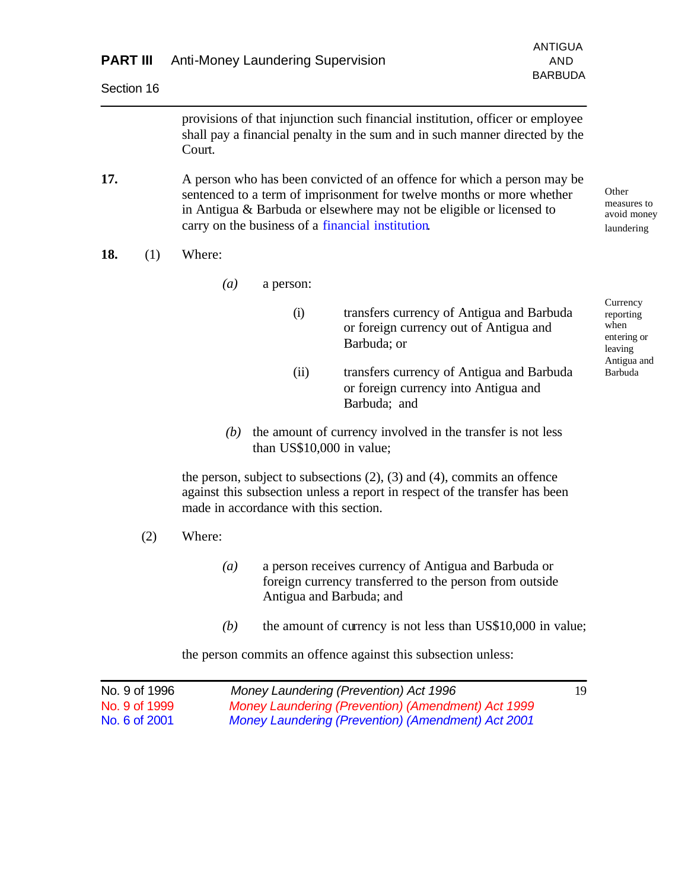| <b>PART III</b> | <b>ANTIGUA</b><br><b>Anti-Money Laundering Supervision</b><br><b>AND</b>                                                                                                                                                                                                      |                                                         |
|-----------------|-------------------------------------------------------------------------------------------------------------------------------------------------------------------------------------------------------------------------------------------------------------------------------|---------------------------------------------------------|
| Section 16      | <b>BARBUDA</b>                                                                                                                                                                                                                                                                |                                                         |
|                 | provisions of that injunction such financial institution, officer or employee<br>shall pay a financial penalty in the sum and in such manner directed by the<br>Court.                                                                                                        |                                                         |
| 17.             | A person who has been convicted of an offence for which a person may be<br>sentenced to a term of imprisonment for twelve months or more whether<br>in Antigua & Barbuda or elsewhere may not be eligible or licensed to<br>carry on the business of a financial institution. | Other<br>measures to<br>avoid money<br>laundering       |
| 18.<br>(1)      | Where:                                                                                                                                                                                                                                                                        |                                                         |
|                 | $\left(a\right)$<br>a person:                                                                                                                                                                                                                                                 |                                                         |
|                 | (i)<br>transfers currency of Antigua and Barbuda<br>or foreign currency out of Antigua and<br>Barbuda; or                                                                                                                                                                     | Currency<br>reporting<br>when<br>entering or<br>leaving |
|                 | (ii)<br>transfers currency of Antigua and Barbuda<br>or foreign currency into Antigua and<br>Barbuda; and                                                                                                                                                                     | Antigua and<br>Barbuda                                  |
|                 | the amount of currency involved in the transfer is not less<br>(b)<br>than US\$10,000 in value;                                                                                                                                                                               |                                                         |
|                 | the person, subject to subsections $(2)$ , $(3)$ and $(4)$ , commits an offence<br>against this subsection unless a report in respect of the transfer has been<br>made in accordance with this section.                                                                       |                                                         |
| (2)             | Where:                                                                                                                                                                                                                                                                        |                                                         |
|                 | a person receives currency of Antigua and Barbuda or<br>(a)<br>foreign currency transferred to the person from outside<br>Antigua and Barbuda; and                                                                                                                            |                                                         |
|                 | the amount of currency is not less than US\$10,000 in value;<br>(b)                                                                                                                                                                                                           |                                                         |
|                 | the person commits an offence against this subsection unless:                                                                                                                                                                                                                 |                                                         |
| No. 9 of 1996   | Money Laundering (Prevention) Act 1996<br>19                                                                                                                                                                                                                                  |                                                         |

No. 9 of 1999 *Money Laundering (Prevention) (Amendment) Act 1999*

*Money Laundering (Prevention) (Amendment) Act 2001*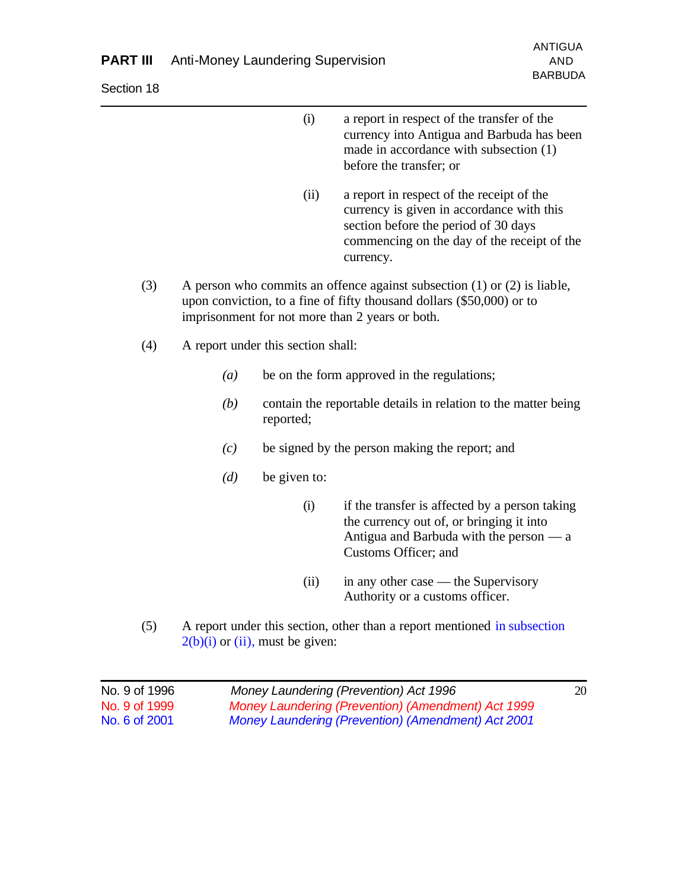### **PART III** Anti-Money Laundering Supervision AND

Section 18

- (i) a report in respect of the transfer of the currency into Antigua and Barbuda has been made in accordance with subsection (1) before the transfer; or
- (ii) a report in respect of the receipt of the currency is given in accordance with this section before the period of 30 days commencing on the day of the receipt of the currency.
- (3) A person who commits an offence against subsection (1) or (2) is liable, upon conviction, to a fine of fifty thousand dollars (\$50,000) or to imprisonment for not more than 2 years or both.
- (4) A report under this section shall:
	- *(a)* be on the form approved in the regulations;
	- *(b)* contain the reportable details in relation to the matter being reported;
	- *(c)* be signed by the person making the report; and
	- *(d)* be given to:
		- (i) if the transfer is affected by a person taking the currency out of, or bringing it into Antigua and Barbuda with the person — a Customs Officer; and
		- (ii) in any other case the Supervisory Authority or a customs officer.
- (5) A report under this section, other than a report mentioned in subsection  $2(b)(i)$  or (ii), must be given:

| No. 9 of 1996 | Money Laundering (Prevention) Act 1996             | 20 |
|---------------|----------------------------------------------------|----|
| No. 9 of 1999 | Money Laundering (Prevention) (Amendment) Act 1999 |    |
| No. 6 of 2001 | Money Laundering (Prevention) (Amendment) Act 2001 |    |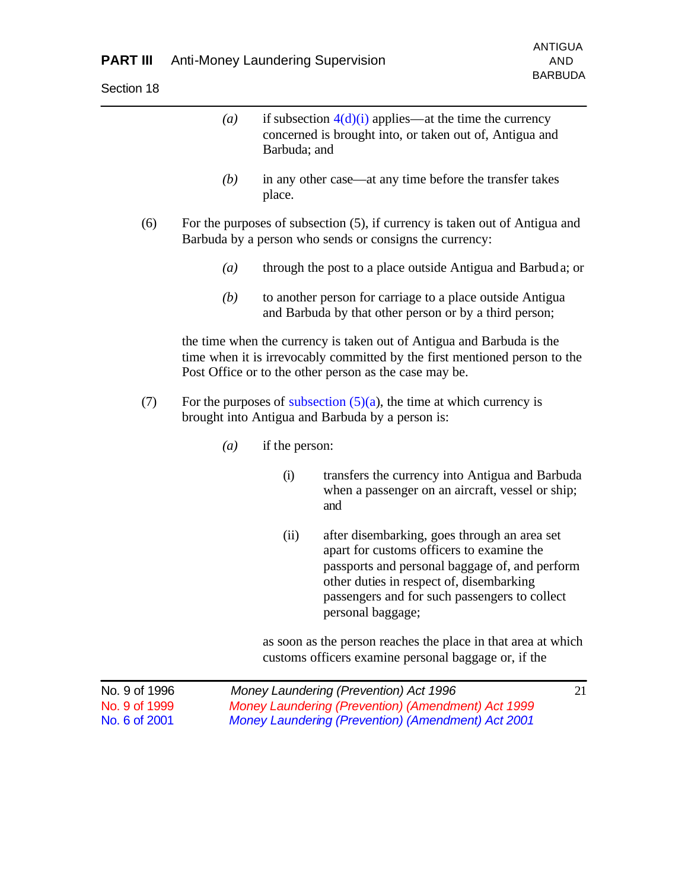|     | (a) | Barbuda; and   | if subsection $4(d)(i)$ applies—at the time the currency<br>concerned is brought into, or taken out of, Antigua and                                                                                                                                           |
|-----|-----|----------------|---------------------------------------------------------------------------------------------------------------------------------------------------------------------------------------------------------------------------------------------------------------|
|     | (b) | place.         | in any other case—at any time before the transfer takes                                                                                                                                                                                                       |
| (6) |     |                | For the purposes of subsection (5), if currency is taken out of Antigua and<br>Barbuda by a person who sends or consigns the currency:                                                                                                                        |
|     | (a) |                | through the post to a place outside Antigua and Barbuda; or                                                                                                                                                                                                   |
|     | (b) |                | to another person for carriage to a place outside Antigua<br>and Barbuda by that other person or by a third person;                                                                                                                                           |
|     |     |                | the time when the currency is taken out of Antigua and Barbuda is the<br>time when it is irrevocably committed by the first mentioned person to the<br>Post Office or to the other person as the case may be.                                                 |
| (7) |     |                | For the purposes of subsection $(5)(a)$ , the time at which currency is<br>brought into Antigua and Barbuda by a person is:                                                                                                                                   |
|     | (a) | if the person: |                                                                                                                                                                                                                                                               |
|     |     | (i)            | transfers the currency into Antigua and Barbuda<br>when a passenger on an aircraft, vessel or ship;<br>and                                                                                                                                                    |
|     |     | (ii)           | after disembarking, goes through an area set<br>apart for customs officers to examine the<br>passports and personal baggage of, and perform<br>other duties in respect of, disembarking<br>passengers and for such passengers to collect<br>personal baggage; |
|     |     |                | as soon as the person reaches the place in that area at which<br>customs officers examine personal baggage or, if the                                                                                                                                         |

| No. 9 of 1996 | Money Laundering (Prevention) Act 1996                    |  |
|---------------|-----------------------------------------------------------|--|
| No. 9 of 1999 | Money Laundering (Prevention) (Amendment) Act 1999        |  |
| No. 6 of 2001 | <b>Money Laundering (Prevention) (Amendment) Act 2001</b> |  |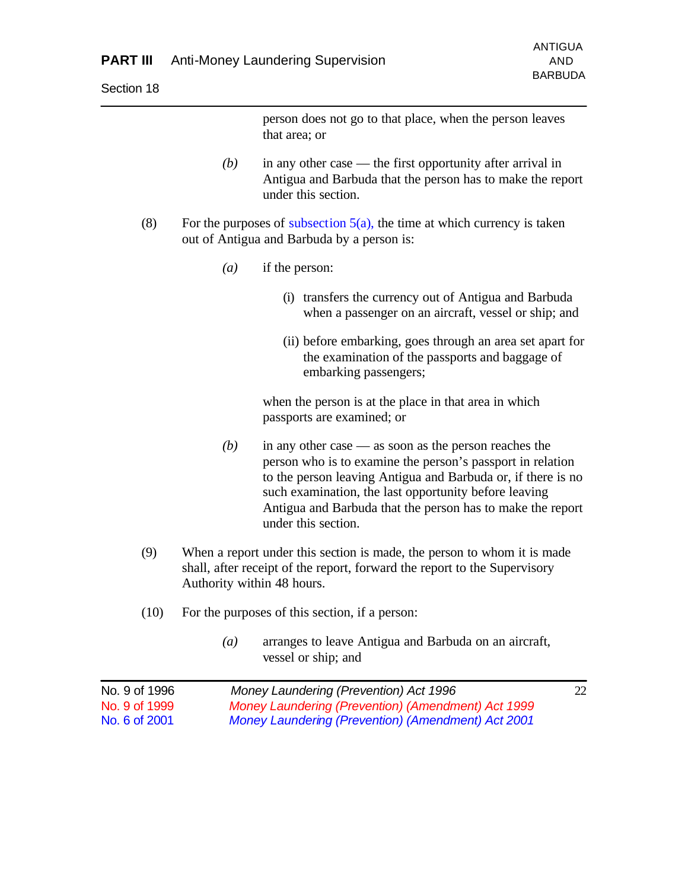person does not go to that place, when the person leaves that area; or

- *(b)* in any other case the first opportunity after arrival in Antigua and Barbuda that the person has to make the report under this section.
- (8) For the purposes of subsection  $5(a)$ , the time at which currency is taken out of Antigua and Barbuda by a person is:
	- *(a)* if the person:
		- (i) transfers the currency out of Antigua and Barbuda when a passenger on an aircraft, vessel or ship; and
		- (ii) before embarking, goes through an area set apart for the examination of the passports and baggage of embarking passengers;

when the person is at the place in that area in which passports are examined; or

- *(b)* in any other case as soon as the person reaches the person who is to examine the person's passport in relation to the person leaving Antigua and Barbuda or, if there is no such examination, the last opportunity before leaving Antigua and Barbuda that the person has to make the report under this section.
- (9) When a report under this section is made, the person to whom it is made shall, after receipt of the report, forward the report to the Supervisory Authority within 48 hours.
- (10) For the purposes of this section, if a person:
	- *(a)* arranges to leave Antigua and Barbuda on an aircraft, vessel or ship; and

| No. 9 of 1996 | Money Laundering (Prevention) Act 1996             | 22. |
|---------------|----------------------------------------------------|-----|
| No. 9 of 1999 | Money Laundering (Prevention) (Amendment) Act 1999 |     |
| No. 6 of 2001 | Money Laundering (Prevention) (Amendment) Act 2001 |     |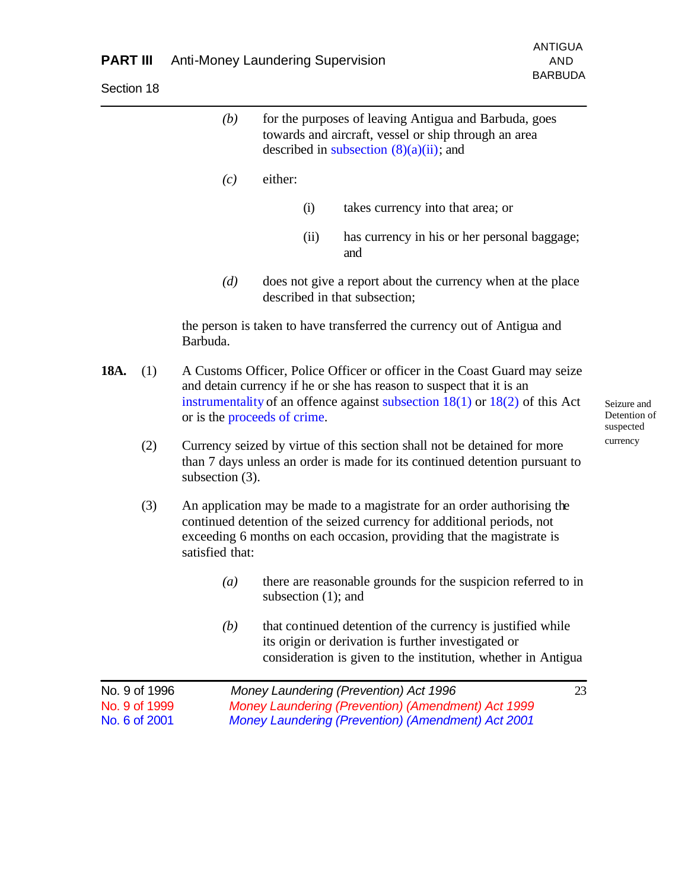Section 18

BARBUDA

|      |                                                 | (b)                                                                                                                                                                                                                                                                  |                        |      | for the purposes of leaving Antigua and Barbuda, goes<br>towards and aircraft, vessel or ship through an area<br>described in subsection $(8)(a)(ii)$ ; and                                                                |    |
|------|-------------------------------------------------|----------------------------------------------------------------------------------------------------------------------------------------------------------------------------------------------------------------------------------------------------------------------|------------------------|------|----------------------------------------------------------------------------------------------------------------------------------------------------------------------------------------------------------------------------|----|
|      |                                                 | (c)                                                                                                                                                                                                                                                                  | either:                |      |                                                                                                                                                                                                                            |    |
|      |                                                 |                                                                                                                                                                                                                                                                      |                        | (i)  | takes currency into that area; or                                                                                                                                                                                          |    |
|      |                                                 |                                                                                                                                                                                                                                                                      |                        | (ii) | has currency in his or her personal baggage;<br>and                                                                                                                                                                        |    |
|      |                                                 | (d)                                                                                                                                                                                                                                                                  |                        |      | does not give a report about the currency when at the place<br>described in that subsection;                                                                                                                               |    |
|      |                                                 | Barbuda.                                                                                                                                                                                                                                                             |                        |      | the person is taken to have transferred the currency out of Antigua and                                                                                                                                                    |    |
| 18A. | (1)                                             | A Customs Officer, Police Officer or officer in the Coast Guard may seize<br>and detain currency if he or she has reason to suspect that it is an<br>instrumentality of an offence against subsection $18(1)$ or $18(2)$ of this Act<br>or is the proceeds of crime. |                        |      |                                                                                                                                                                                                                            |    |
|      | (2)                                             | subsection $(3)$ .                                                                                                                                                                                                                                                   |                        |      | Currency seized by virtue of this section shall not be detained for more<br>than 7 days unless an order is made for its continued detention pursuant to                                                                    |    |
|      | (3)                                             | satisfied that:                                                                                                                                                                                                                                                      |                        |      | An application may be made to a magistrate for an order authorising the<br>continued detention of the seized currency for additional periods, not<br>exceeding 6 months on each occasion, providing that the magistrate is |    |
|      |                                                 | $\left(a\right)$                                                                                                                                                                                                                                                     | subsection $(1)$ ; and |      | there are reasonable grounds for the suspicion referred to in                                                                                                                                                              |    |
|      |                                                 | (b)                                                                                                                                                                                                                                                                  |                        |      | that continued detention of the currency is justified while<br>its origin or derivation is further investigated or<br>consideration is given to the institution, whether in Antigua                                        |    |
|      | No. 9 of 1996<br>No. 9 of 1999<br>No. 6 of 2001 |                                                                                                                                                                                                                                                                      |                        |      | Money Laundering (Prevention) Act 1996<br>Money Laundering (Prevention) (Amendment) Act 1999<br><b>Money Laundering (Prevention) (Amendment) Act 2001</b>                                                                  | 23 |
|      |                                                 |                                                                                                                                                                                                                                                                      |                        |      |                                                                                                                                                                                                                            |    |

Seizure and Detention of suspected currency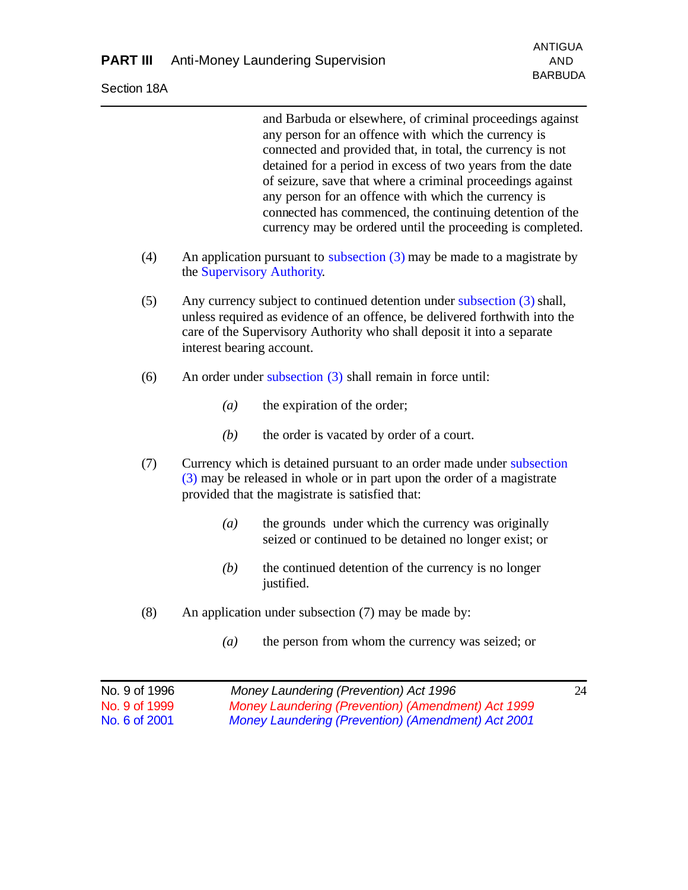Section 18A

and Barbuda or elsewhere, of criminal proceedings against any person for an offence with which the currency is connected and provided that, in total, the currency is not detained for a period in excess of two years from the date of seizure, save that where a criminal proceedings against any person for an offence with which the currency is connected has commenced, the continuing detention of the currency may be ordered until the proceeding is completed.

- (4) An application pursuant to subsection (3) may be made to a magistrate by the Supervisory Authority.
- (5) Any currency subject to continued detention under subsection (3) shall, unless required as evidence of an offence, be delivered forthwith into the care of the Supervisory Authority who shall deposit it into a separate interest bearing account.
- (6) An order under subsection (3) shall remain in force until:
	- *(a)* the expiration of the order;
	- *(b)* the order is vacated by order of a court.
- (7) Currency which is detained pursuant to an order made under subsection (3) may be released in whole or in part upon the order of a magistrate provided that the magistrate is satisfied that:
	- *(a)* the grounds under which the currency was originally seized or continued to be detained no longer exist; or
	- *(b)* the continued detention of the currency is no longer justified.
- (8) An application under subsection (7) may be made by:
	- *(a)* the person from whom the currency was seized; or

| No. 9 of 1996 | Money Laundering (Prevention) Act 1996             | 24 |
|---------------|----------------------------------------------------|----|
| No. 9 of 1999 | Money Laundering (Prevention) (Amendment) Act 1999 |    |
| No. 6 of 2001 | Money Laundering (Prevention) (Amendment) Act 2001 |    |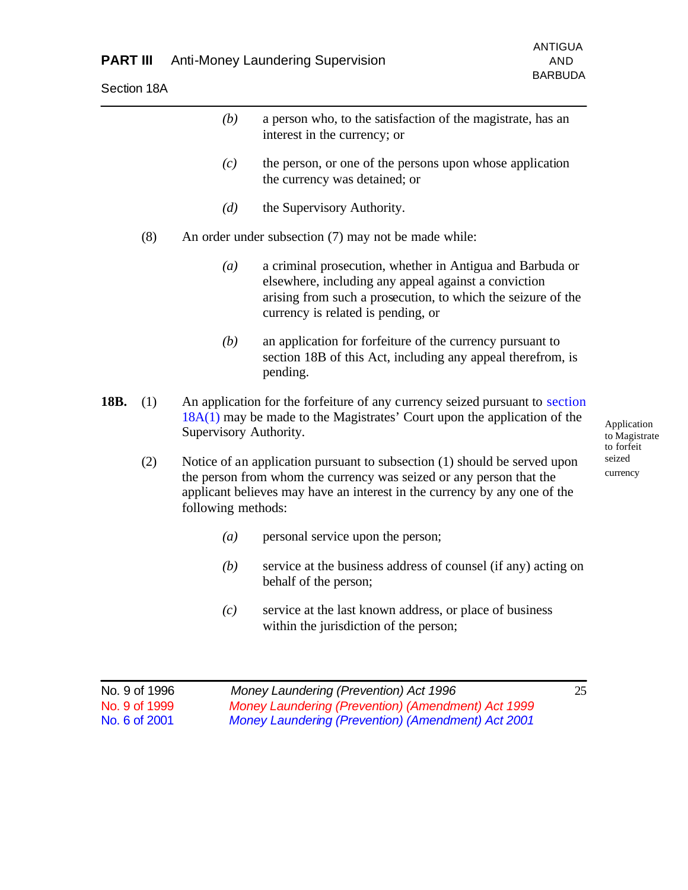|      |     | (b)                    | a person who, to the satisfaction of the magistrate, has an<br>interest in the currency; or                                                                                                                                   |                                            |
|------|-----|------------------------|-------------------------------------------------------------------------------------------------------------------------------------------------------------------------------------------------------------------------------|--------------------------------------------|
|      |     | (c)                    | the person, or one of the persons upon whose application<br>the currency was detained; or                                                                                                                                     |                                            |
|      |     | (d)                    | the Supervisory Authority.                                                                                                                                                                                                    |                                            |
|      | (8) |                        | An order under subsection (7) may not be made while:                                                                                                                                                                          |                                            |
|      |     | (a)                    | a criminal prosecution, whether in Antigua and Barbuda or<br>elsewhere, including any appeal against a conviction<br>arising from such a prosecution, to which the seizure of the<br>currency is related is pending, or       |                                            |
|      |     | (b)                    | an application for forfeiture of the currency pursuant to<br>section 18B of this Act, including any appeal therefrom, is<br>pending.                                                                                          |                                            |
| 18B. | (1) | Supervisory Authority. | An application for the forfeiture of any currency seized pursuant to section<br>$18A(1)$ may be made to the Magistrates' Court upon the application of the                                                                    | Application<br>to Magistrate<br>to forfeit |
|      | (2) | following methods:     | Notice of an application pursuant to subsection (1) should be served upon<br>the person from whom the currency was seized or any person that the<br>applicant believes may have an interest in the currency by any one of the | seized<br>currency                         |
|      |     | (a)                    | personal service upon the person;                                                                                                                                                                                             |                                            |
|      |     | (b)                    | service at the business address of counsel (if any) acting on<br>behalf of the person;                                                                                                                                        |                                            |
|      |     | (c)                    | service at the last known address, or place of business<br>within the jurisdiction of the person;                                                                                                                             |                                            |
|      |     |                        |                                                                                                                                                                                                                               |                                            |

| No. 9 of 1996 | Money Laundering (Prevention) Act 1996                    | 25 |
|---------------|-----------------------------------------------------------|----|
| No. 9 of 1999 | Money Laundering (Prevention) (Amendment) Act 1999        |    |
| No. 6 of 2001 | <b>Money Laundering (Prevention) (Amendment) Act 2001</b> |    |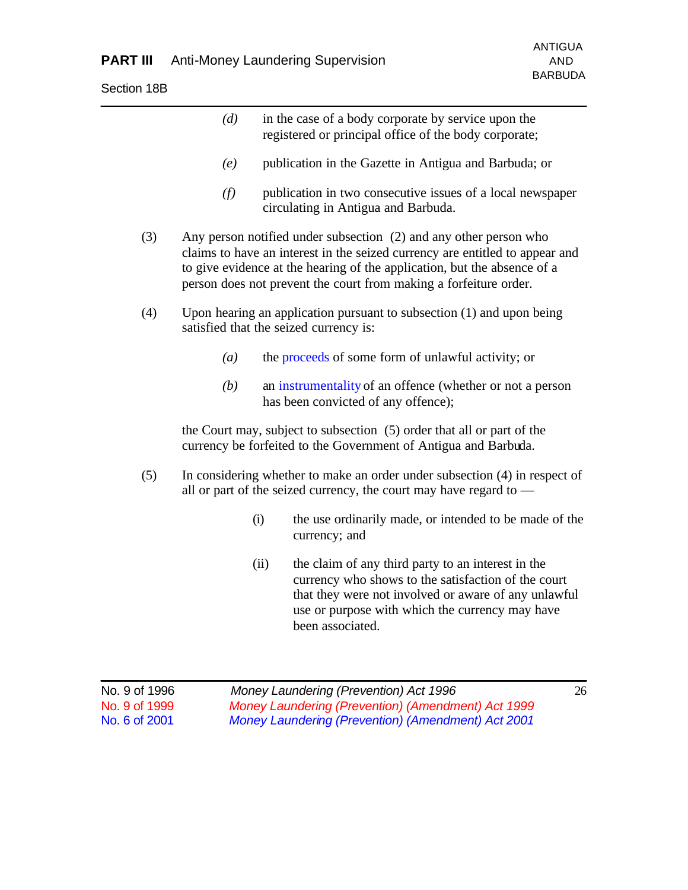|     | (d) | in the case of a body corporate by service upon the<br>registered or principal office of the body corporate;                                                                                                                                                                                       |
|-----|-----|----------------------------------------------------------------------------------------------------------------------------------------------------------------------------------------------------------------------------------------------------------------------------------------------------|
|     | (e) | publication in the Gazette in Antigua and Barbuda; or                                                                                                                                                                                                                                              |
|     | (f) | publication in two consecutive issues of a local newspaper<br>circulating in Antigua and Barbuda.                                                                                                                                                                                                  |
| (3) |     | Any person notified under subsection (2) and any other person who<br>claims to have an interest in the seized currency are entitled to appear and<br>to give evidence at the hearing of the application, but the absence of a<br>person does not prevent the court from making a forfeiture order. |
| (4) |     | Upon hearing an application pursuant to subsection $(1)$ and upon being<br>satisfied that the seized currency is:                                                                                                                                                                                  |
|     | (a) | the proceeds of some form of unlawful activity; or                                                                                                                                                                                                                                                 |
|     | (b) | an instrumentality of an offence (whether or not a person<br>has been convicted of any offence);                                                                                                                                                                                                   |
|     |     | the Court may, subject to subsection (5) order that all or part of the<br>currency be forfeited to the Government of Antigua and Barbuda.                                                                                                                                                          |
| (5) |     | In considering whether to make an order under subsection (4) in respect of<br>all or part of the seized currency, the court may have regard to —                                                                                                                                                   |
|     |     | (i)<br>the use ordinarily made, or intended to be made of the<br>currency; and                                                                                                                                                                                                                     |
|     |     | (ii)<br>the claim of any third party to an interest in the<br>currency who shows to the satisfaction of the court<br>that they were not involved or aware of any unlawful<br>use or purpose with which the currency may have<br>been associated.                                                   |

| No. 9 of 1996              | Money Laundering (Prevention) Act 1996                    | 26 |
|----------------------------|-----------------------------------------------------------|----|
| No. 9 of 1999 <sub>.</sub> | Money Laundering (Prevention) (Amendment) Act 1999        |    |
| No. 6 of 2001              | <b>Money Laundering (Prevention) (Amendment) Act 2001</b> |    |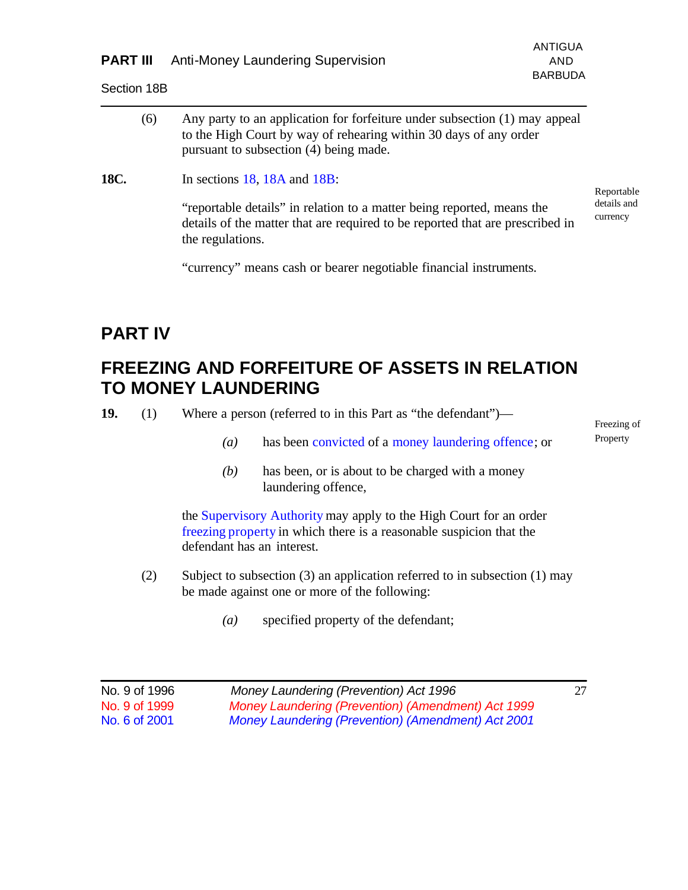| <b>PART III</b> Anti-Money Laundering Supervision | AND |
|---------------------------------------------------|-----|
|                                                   |     |

Section 18B

|      | (6) | Any party to an application for forfeiture under subsection (1) may appeal<br>to the High Court by way of rehearing within 30 days of any order<br>pursuant to subsection (4) being made. |                         |
|------|-----|-------------------------------------------------------------------------------------------------------------------------------------------------------------------------------------------|-------------------------|
| 18C. |     | In sections $18$ , $18A$ and $18B$ :                                                                                                                                                      | Reportable              |
|      |     | "reportable details" in relation to a matter being reported, means the<br>details of the matter that are required to be reported that are prescribed in<br>the regulations.               | details and<br>currency |

"currency" means cash or bearer negotiable financial instruments.

## **PART IV**

## **FREEZING AND FORFEITURE OF ASSETS IN RELATION TO MONEY LAUNDERING**

**19.** (1) Where a person (referred to in this Part as "the defendant")—

- *(a)* has been convicted of a money laundering offence; or
- *(b)* has been, or is about to be charged with a money laundering offence,

the Supervisory Authority may apply to the High Court for an order freezing property in which there is a reasonable suspicion that the defendant has an interest.

- (2) Subject to subsection (3) an application referred to in subsection (1) may be made against one or more of the following:
	- *(a)* specified property of the defendant;

| No. 9 of 1996 | Money Laundering (Prevention) Act 1996             | 27 |
|---------------|----------------------------------------------------|----|
| No. 9 of 1999 | Money Laundering (Prevention) (Amendment) Act 1999 |    |
| No. 6 of 2001 | Money Laundering (Prevention) (Amendment) Act 2001 |    |

Freezing of Property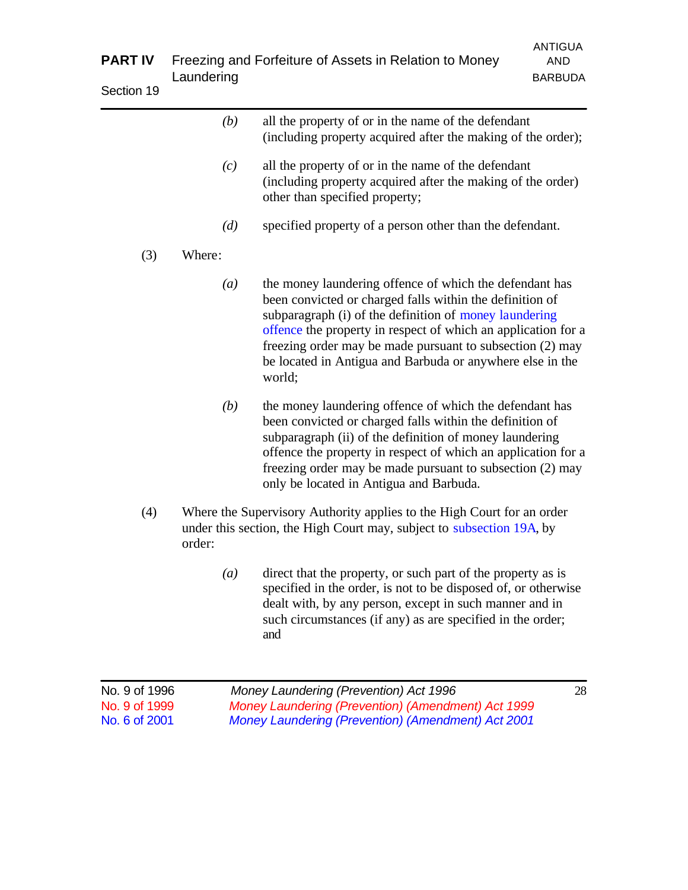| <b>PART IV</b><br>Section 19 | Laundering       | Freezing and Forfeiture of Assets in Relation to Money                                                                                                                                                                                                                                                                                                                             | <b>ANTIGUA</b><br><b>AND</b><br><b>BARBUDA</b> |
|------------------------------|------------------|------------------------------------------------------------------------------------------------------------------------------------------------------------------------------------------------------------------------------------------------------------------------------------------------------------------------------------------------------------------------------------|------------------------------------------------|
|                              | (b)              | all the property of or in the name of the defendant<br>(including property acquired after the making of the order);                                                                                                                                                                                                                                                                |                                                |
|                              | (c)              | all the property of or in the name of the defendant<br>(including property acquired after the making of the order)<br>other than specified property;                                                                                                                                                                                                                               |                                                |
|                              | (d)              | specified property of a person other than the defendant.                                                                                                                                                                                                                                                                                                                           |                                                |
| (3)                          | Where:           |                                                                                                                                                                                                                                                                                                                                                                                    |                                                |
|                              | $\left(a\right)$ | the money laundering offence of which the defendant has<br>been convicted or charged falls within the definition of<br>subparagraph (i) of the definition of money laundering<br>offence the property in respect of which an application for a<br>freezing order may be made pursuant to subsection (2) may<br>be located in Antigua and Barbuda or anywhere else in the<br>world; |                                                |
|                              | (b)              | the money laundering offence of which the defendant has<br>been convicted or charged falls within the definition of<br>subparagraph (ii) of the definition of money laundering<br>offence the property in respect of which an application for a<br>freezing order may be made pursuant to subsection (2) may<br>only be located in Antigua and Barbuda.                            |                                                |
| (4)                          | order:           | Where the Supervisory Authority applies to the High Court for an order<br>under this section, the High Court may, subject to subsection 19A, by                                                                                                                                                                                                                                    |                                                |
|                              | $\left(a\right)$ | direct that the property, or such part of the property as is<br>specified in the order, is not to be disposed of, or otherwise<br>dealt with, by any person, except in such manner and in<br>such circumstances (if any) as are specified in the order;<br>and                                                                                                                     |                                                |

| No. 9 of 1996 | Money Laundering (Prevention) Act 1996             | 28 |
|---------------|----------------------------------------------------|----|
| No. 9 of 1999 | Money Laundering (Prevention) (Amendment) Act 1999 |    |
| No. 6 of 2001 | Money Laundering (Prevention) (Amendment) Act 2001 |    |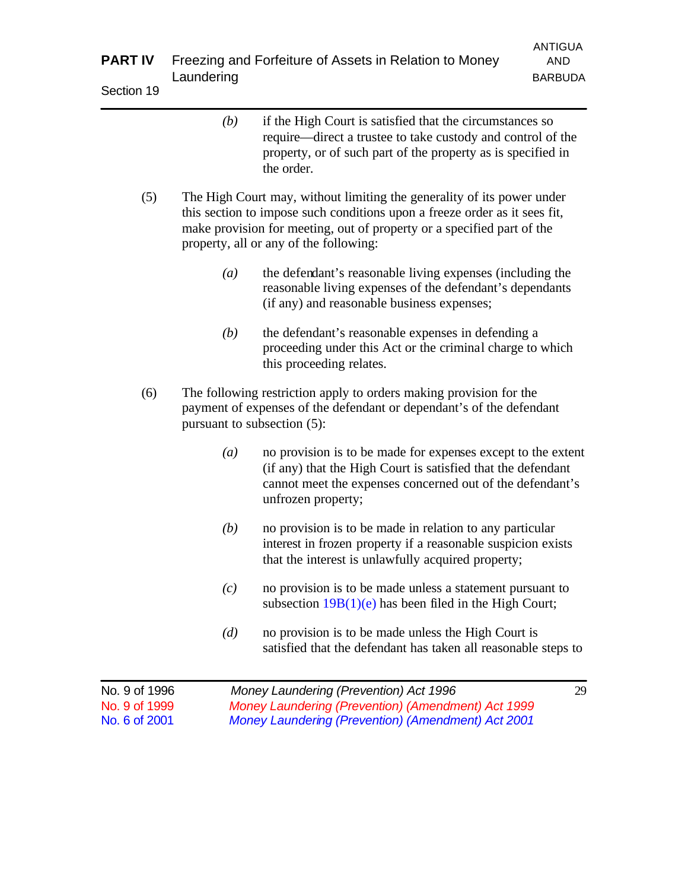| <b>PART IV</b><br>Section 19 | Laundering | Freezing and Forfeiture of Assets in Relation to Money                                                                                                                                                                                                                   | <b>ANTIGUA</b><br><b>AND</b><br><b>BARBUDA</b> |
|------------------------------|------------|--------------------------------------------------------------------------------------------------------------------------------------------------------------------------------------------------------------------------------------------------------------------------|------------------------------------------------|
|                              | (b)        | if the High Court is satisfied that the circumstances so<br>require—direct a trustee to take custody and control of the<br>property, or of such part of the property as is specified in<br>the order.                                                                    |                                                |
| (5)                          |            | The High Court may, without limiting the generality of its power under<br>this section to impose such conditions upon a freeze order as it sees fit,<br>make provision for meeting, out of property or a specified part of the<br>property, all or any of the following: |                                                |
|                              | (a)        | the defendant's reasonable living expenses (including the<br>reasonable living expenses of the defendant's dependants<br>(if any) and reasonable business expenses;                                                                                                      |                                                |
|                              | (b)        | the defendant's reasonable expenses in defending a<br>proceeding under this Act or the criminal charge to which<br>this proceeding relates.                                                                                                                              |                                                |

- (6) The following restriction apply to orders making provision for the payment of expenses of the defendant or dependant's of the defendant pursuant to subsection (5):
	- *(a)* no provision is to be made for expenses except to the extent (if any) that the High Court is satisfied that the defendant cannot meet the expenses concerned out of the defendant's unfrozen property;
	- *(b)* no provision is to be made in relation to any particular interest in frozen property if a reasonable suspicion exists that the interest is unlawfully acquired property;
	- *(c)* no provision is to be made unless a statement pursuant to subsection  $19B(1)(e)$  has been filed in the High Court;
	- *(d)* no provision is to be made unless the High Court is satisfied that the defendant has taken all reasonable steps to

| No. 9 of 1996 | Money Laundering (Prevention) Act 1996             | 29 |
|---------------|----------------------------------------------------|----|
| No. 9 of 1999 | Money Laundering (Prevention) (Amendment) Act 1999 |    |
| No. 6 of 2001 | Money Laundering (Prevention) (Amendment) Act 2001 |    |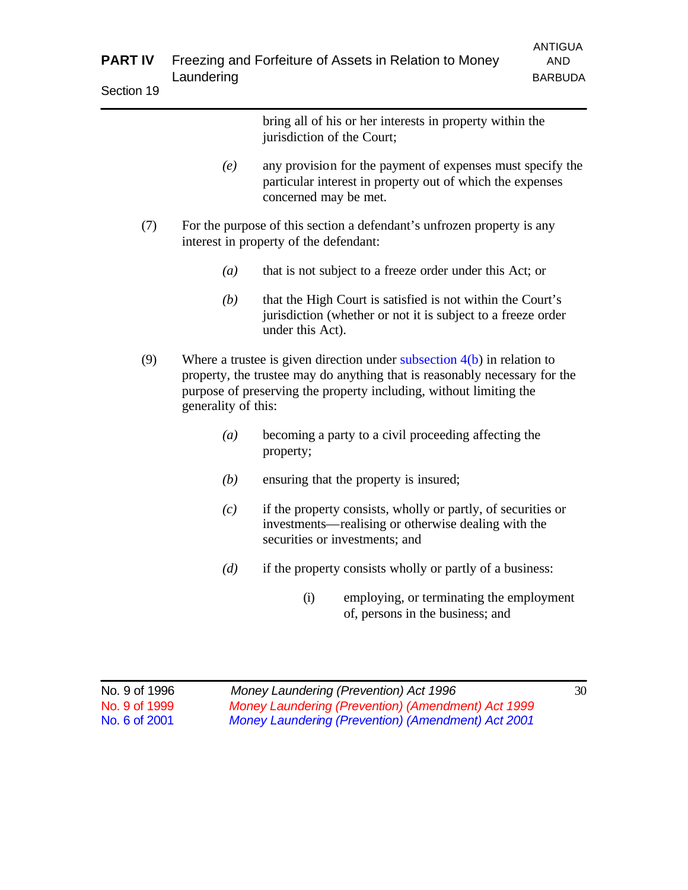|            | <b>PART IV</b> Freezing and Forfeiture of Assets in Relation to Money | ANTIGUA<br>AND. |
|------------|-----------------------------------------------------------------------|-----------------|
|            | Laundering                                                            | <b>BARBUDA</b>  |
| Section 19 |                                                                       |                 |

|     |                     | bring all of his or her interests in property within the<br>jurisdiction of the Court;                                                                                                                                        |
|-----|---------------------|-------------------------------------------------------------------------------------------------------------------------------------------------------------------------------------------------------------------------------|
|     | (e)                 | any provision for the payment of expenses must specify the<br>particular interest in property out of which the expenses<br>concerned may be met.                                                                              |
| (7) |                     | For the purpose of this section a defendant's unfrozen property is any<br>interest in property of the defendant:                                                                                                              |
|     | (a)                 | that is not subject to a freeze order under this Act; or                                                                                                                                                                      |
|     | (b)                 | that the High Court is satisfied is not within the Court's<br>jurisdiction (whether or not it is subject to a freeze order<br>under this Act).                                                                                |
| (9) | generality of this: | Where a trustee is given direction under subsection $4(b)$ in relation to<br>property, the trustee may do anything that is reasonably necessary for the<br>purpose of preserving the property including, without limiting the |
|     | $\left(a\right)$    | becoming a party to a civil proceeding affecting the<br>property;                                                                                                                                                             |
|     |                     |                                                                                                                                                                                                                               |

- *(b)* ensuring that the property is insured;
- *(c)* if the property consists, wholly or partly, of securities or investments—realising or otherwise dealing with the securities or investments; and
- *(d)* if the property consists wholly or partly of a business:
	- (i) employing, or terminating the employment of, persons in the business; and

| No. 9 of 1996 | Money Laundering (Prevention) Act 1996             | 30 |
|---------------|----------------------------------------------------|----|
| No. 9 of 1999 | Money Laundering (Prevention) (Amendment) Act 1999 |    |
| No. 6 of 2001 | Money Laundering (Prevention) (Amendment) Act 2001 |    |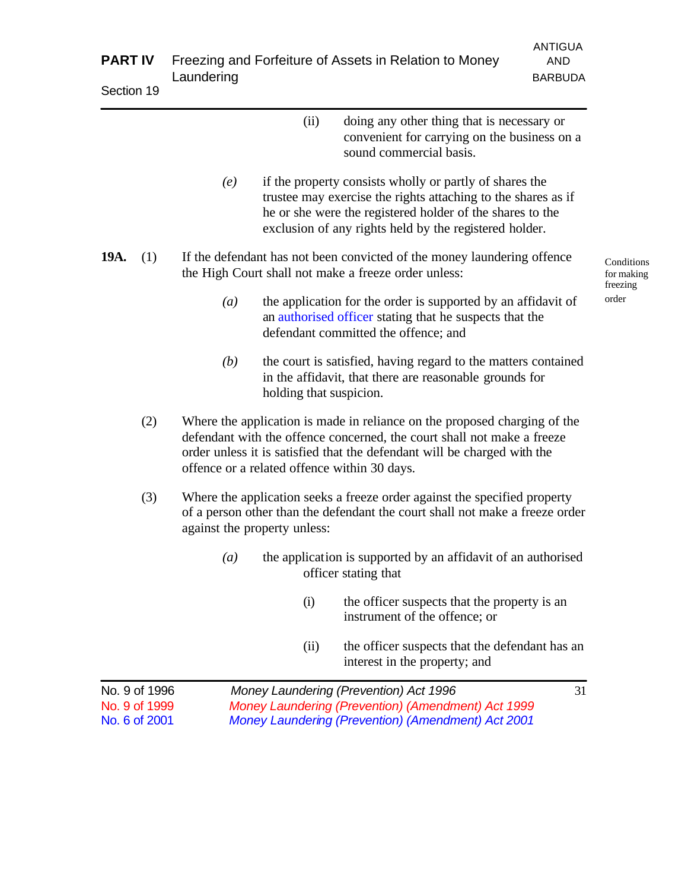| <b>PART IV</b> |     | <b>ANTIGUA</b><br>Freezing and Forfeiture of Assets in Relation to Money<br><b>AND</b>                                                                                                                                                                                           |                                      |  |  |
|----------------|-----|----------------------------------------------------------------------------------------------------------------------------------------------------------------------------------------------------------------------------------------------------------------------------------|--------------------------------------|--|--|
| Section 19     |     | Laundering<br><b>BARBUDA</b>                                                                                                                                                                                                                                                     |                                      |  |  |
|                |     | (ii)<br>doing any other thing that is necessary or<br>convenient for carrying on the business on a<br>sound commercial basis.                                                                                                                                                    |                                      |  |  |
|                |     | if the property consists wholly or partly of shares the<br>(e)<br>trustee may exercise the rights attaching to the shares as if<br>he or she were the registered holder of the shares to the<br>exclusion of any rights held by the registered holder.                           |                                      |  |  |
| 19A.           | (1) | If the defendant has not been convicted of the money laundering offence<br>the High Court shall not make a freeze order unless:                                                                                                                                                  | Conditions<br>for making<br>freezing |  |  |
|                |     | the application for the order is supported by an affidavit of<br>(a)<br>an authorised officer stating that he suspects that the<br>defendant committed the offence; and                                                                                                          | order                                |  |  |
|                |     | the court is satisfied, having regard to the matters contained<br>(b)<br>in the affidavit, that there are reasonable grounds for<br>holding that suspicion.                                                                                                                      |                                      |  |  |
|                | (2) | Where the application is made in reliance on the proposed charging of the<br>defendant with the offence concerned, the court shall not make a freeze<br>order unless it is satisfied that the defendant will be charged with the<br>offence or a related offence within 30 days. |                                      |  |  |
|                | (3) | Where the application seeks a freeze order against the specified property<br>of a person other than the defendant the court shall not make a freeze order<br>against the property unless:                                                                                        |                                      |  |  |
|                |     | the application is supported by an affidavit of an authorised<br>(a)<br>officer stating that                                                                                                                                                                                     |                                      |  |  |
|                |     | (i)<br>the officer suspects that the property is an<br>instrument of the offence; or                                                                                                                                                                                             |                                      |  |  |
|                |     | the officer suspects that the defendant has an<br>(ii)<br>interest in the property; and                                                                                                                                                                                          |                                      |  |  |
| No. 9 of 1996  |     | Money Laundering (Prevention) Act 1996<br>31                                                                                                                                                                                                                                     |                                      |  |  |

No. 9 of 1999 *Money Laundering (Prevention) (Amendment) Act 1999* No. 6 of 2001 *Money Laundering (Prevention) (Amendment) Act 2001*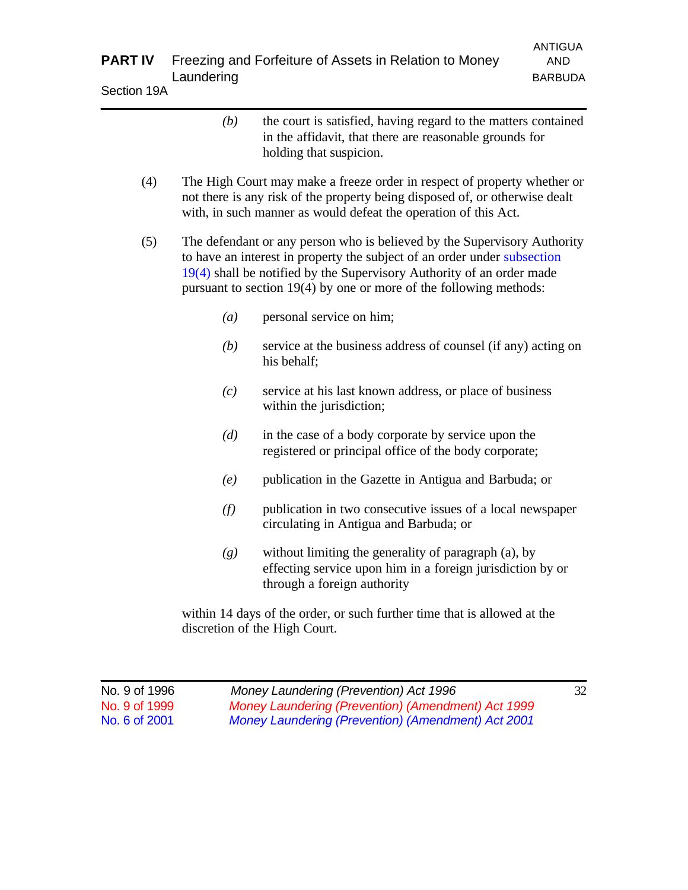| <b>PART IV</b><br>Section 19A                   | Laundering       | Freezing and Forfeiture of Assets in Relation to Money                                                                                                                                                                                                                                                | <b>ANTIGUA</b><br><b>AND</b><br><b>BARBUDA</b> |
|-------------------------------------------------|------------------|-------------------------------------------------------------------------------------------------------------------------------------------------------------------------------------------------------------------------------------------------------------------------------------------------------|------------------------------------------------|
|                                                 | (b)              | the court is satisfied, having regard to the matters contained<br>in the affidavit, that there are reasonable grounds for<br>holding that suspicion.                                                                                                                                                  |                                                |
| (4)                                             |                  | The High Court may make a freeze order in respect of property whether or<br>not there is any risk of the property being disposed of, or otherwise dealt<br>with, in such manner as would defeat the operation of this Act.                                                                            |                                                |
| (5)                                             |                  | The defendant or any person who is believed by the Supervisory Authority<br>to have an interest in property the subject of an order under subsection<br>$19(4)$ shall be notified by the Supervisory Authority of an order made<br>pursuant to section 19(4) by one or more of the following methods: |                                                |
|                                                 | $\left(a\right)$ | personal service on him;                                                                                                                                                                                                                                                                              |                                                |
|                                                 | (b)              | service at the business address of counsel (if any) acting on<br>his behalf;                                                                                                                                                                                                                          |                                                |
|                                                 | (c)              | service at his last known address, or place of business<br>within the jurisdiction;                                                                                                                                                                                                                   |                                                |
|                                                 | (d)              | in the case of a body corporate by service upon the<br>registered or principal office of the body corporate;                                                                                                                                                                                          |                                                |
|                                                 | (e)              | publication in the Gazette in Antigua and Barbuda; or                                                                                                                                                                                                                                                 |                                                |
|                                                 | (f)              | publication in two consecutive issues of a local newspaper<br>circulating in Antigua and Barbuda; or                                                                                                                                                                                                  |                                                |
|                                                 | (g)              | without limiting the generality of paragraph (a), by<br>effecting service upon him in a foreign jurisdiction by or<br>through a foreign authority                                                                                                                                                     |                                                |
|                                                 |                  | within 14 days of the order, or such further time that is allowed at the<br>discretion of the High Court.                                                                                                                                                                                             |                                                |
| No. 9 of 1996<br>No. 9 of 1999<br>No. 6 of 2001 |                  | Money Laundering (Prevention) Act 1996<br>Money Laundering (Prevention) (Amendment) Act 1999<br>Money Laundering (Prevention) (Amendment) Act 2001                                                                                                                                                    | 32                                             |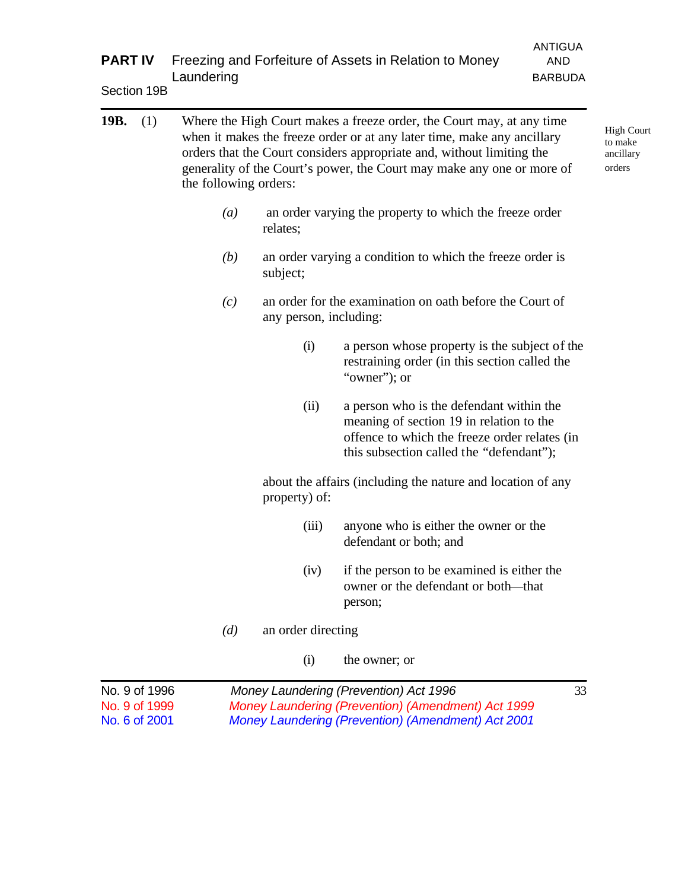| <b>PART IV</b> | <b>ANTIGUA</b><br>Freezing and Forfeiture of Assets in Relation to Money<br><b>AND</b><br>Laundering<br><b>BARBUDA</b> |                                                                                                                                                                                                                                                                                                                              |                        |                                                                                                                                                                                   |    |  |  |
|----------------|------------------------------------------------------------------------------------------------------------------------|------------------------------------------------------------------------------------------------------------------------------------------------------------------------------------------------------------------------------------------------------------------------------------------------------------------------------|------------------------|-----------------------------------------------------------------------------------------------------------------------------------------------------------------------------------|----|--|--|
| Section 19B    |                                                                                                                        |                                                                                                                                                                                                                                                                                                                              |                        |                                                                                                                                                                                   |    |  |  |
| 19B.           | (1)                                                                                                                    | Where the High Court makes a freeze order, the Court may, at any time<br>when it makes the freeze order or at any later time, make any ancillary<br>orders that the Court considers appropriate and, without limiting the<br>generality of the Court's power, the Court may make any one or more of<br>the following orders: |                        |                                                                                                                                                                                   |    |  |  |
|                |                                                                                                                        | $\left(a\right)$                                                                                                                                                                                                                                                                                                             | relates;               | an order varying the property to which the freeze order                                                                                                                           |    |  |  |
|                |                                                                                                                        | (b)                                                                                                                                                                                                                                                                                                                          | subject;               | an order varying a condition to which the freeze order is                                                                                                                         |    |  |  |
|                |                                                                                                                        | (c)                                                                                                                                                                                                                                                                                                                          | any person, including: | an order for the examination on oath before the Court of                                                                                                                          |    |  |  |
|                |                                                                                                                        |                                                                                                                                                                                                                                                                                                                              | (i)                    | a person whose property is the subject of the<br>restraining order (in this section called the<br>"owner"; or                                                                     |    |  |  |
|                |                                                                                                                        |                                                                                                                                                                                                                                                                                                                              | (ii)                   | a person who is the defendant within the<br>meaning of section 19 in relation to the<br>offence to which the freeze order relates (in<br>this subsection called the "defendant"); |    |  |  |
|                |                                                                                                                        |                                                                                                                                                                                                                                                                                                                              | property) of:          | about the affairs (including the nature and location of any                                                                                                                       |    |  |  |
|                |                                                                                                                        |                                                                                                                                                                                                                                                                                                                              | (iii)                  | anyone who is either the owner or the<br>defendant or both; and                                                                                                                   |    |  |  |
|                |                                                                                                                        |                                                                                                                                                                                                                                                                                                                              | (iv)                   | if the person to be examined is either the<br>owner or the defendant or both-that<br>person;                                                                                      |    |  |  |
|                |                                                                                                                        | (d)                                                                                                                                                                                                                                                                                                                          | an order directing     |                                                                                                                                                                                   |    |  |  |
|                |                                                                                                                        |                                                                                                                                                                                                                                                                                                                              | (i)                    | the owner; or                                                                                                                                                                     |    |  |  |
| No. 9 of 1996  |                                                                                                                        |                                                                                                                                                                                                                                                                                                                              |                        | Money Laundering (Prevention) Act 1996                                                                                                                                            | 33 |  |  |

No. 9 of 1999 *Money Laundering (Prevention) (Amendment) Act 1999* No. 6 of 2001 *Money Laundering (Prevention) (Amendment) Act 2001*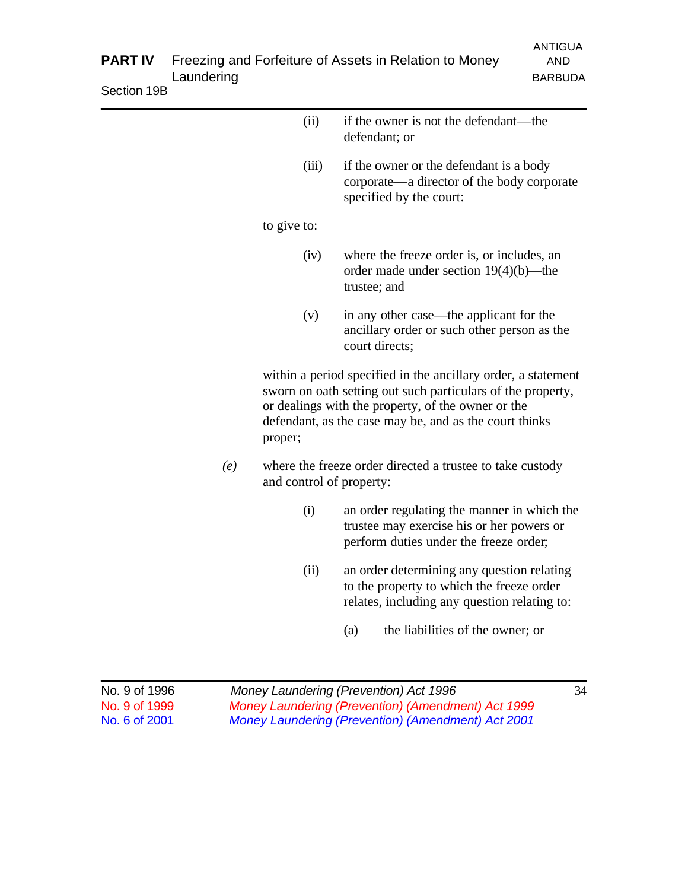| if the owner is not the defendant—the<br>(ii)<br>defendant; or<br>(iii)<br>if the owner or the defendant is a body<br>corporate—a director of the body corporate<br>specified by the court:<br>to give to:<br>(iv)<br>where the freeze order is, or includes, an<br>order made under section $19(4)(b)$ —the<br>trustee; and<br>(v)<br>in any other case—the applicant for the<br>ancillary order or such other person as the<br>court directs;<br>within a period specified in the ancillary order, a statement<br>sworn on oath setting out such particulars of the property,<br>or dealings with the property, of the owner or the<br>defendant, as the case may be, and as the court thinks<br>proper;<br>(e)<br>where the freeze order directed a trustee to take custody<br>and control of property:<br>(i)<br>an order regulating the manner in which the<br>trustee may exercise his or her powers or<br>perform duties under the freeze order;<br>(ii)<br>an order determining any question relating<br>to the property to which the freeze order<br>relates, including any question relating to:<br>the liabilities of the owner; or<br>(a) |  |  |  |
|-------------------------------------------------------------------------------------------------------------------------------------------------------------------------------------------------------------------------------------------------------------------------------------------------------------------------------------------------------------------------------------------------------------------------------------------------------------------------------------------------------------------------------------------------------------------------------------------------------------------------------------------------------------------------------------------------------------------------------------------------------------------------------------------------------------------------------------------------------------------------------------------------------------------------------------------------------------------------------------------------------------------------------------------------------------------------------------------------------------------------------------------------------|--|--|--|
|                                                                                                                                                                                                                                                                                                                                                                                                                                                                                                                                                                                                                                                                                                                                                                                                                                                                                                                                                                                                                                                                                                                                                       |  |  |  |
|                                                                                                                                                                                                                                                                                                                                                                                                                                                                                                                                                                                                                                                                                                                                                                                                                                                                                                                                                                                                                                                                                                                                                       |  |  |  |
|                                                                                                                                                                                                                                                                                                                                                                                                                                                                                                                                                                                                                                                                                                                                                                                                                                                                                                                                                                                                                                                                                                                                                       |  |  |  |
|                                                                                                                                                                                                                                                                                                                                                                                                                                                                                                                                                                                                                                                                                                                                                                                                                                                                                                                                                                                                                                                                                                                                                       |  |  |  |
|                                                                                                                                                                                                                                                                                                                                                                                                                                                                                                                                                                                                                                                                                                                                                                                                                                                                                                                                                                                                                                                                                                                                                       |  |  |  |
|                                                                                                                                                                                                                                                                                                                                                                                                                                                                                                                                                                                                                                                                                                                                                                                                                                                                                                                                                                                                                                                                                                                                                       |  |  |  |
|                                                                                                                                                                                                                                                                                                                                                                                                                                                                                                                                                                                                                                                                                                                                                                                                                                                                                                                                                                                                                                                                                                                                                       |  |  |  |
|                                                                                                                                                                                                                                                                                                                                                                                                                                                                                                                                                                                                                                                                                                                                                                                                                                                                                                                                                                                                                                                                                                                                                       |  |  |  |
|                                                                                                                                                                                                                                                                                                                                                                                                                                                                                                                                                                                                                                                                                                                                                                                                                                                                                                                                                                                                                                                                                                                                                       |  |  |  |
|                                                                                                                                                                                                                                                                                                                                                                                                                                                                                                                                                                                                                                                                                                                                                                                                                                                                                                                                                                                                                                                                                                                                                       |  |  |  |

|  | No. 9 of 1996 |
|--|---------------|
|  | No. 9 of 1999 |
|  | No. 6 of 2001 |

Money Laundering (Prevention) Act 1996 **34** *Money Laundering (Prevention) (Amendment) Act 1999 Money Laundering (Prevention) (Amendment) Act 2001*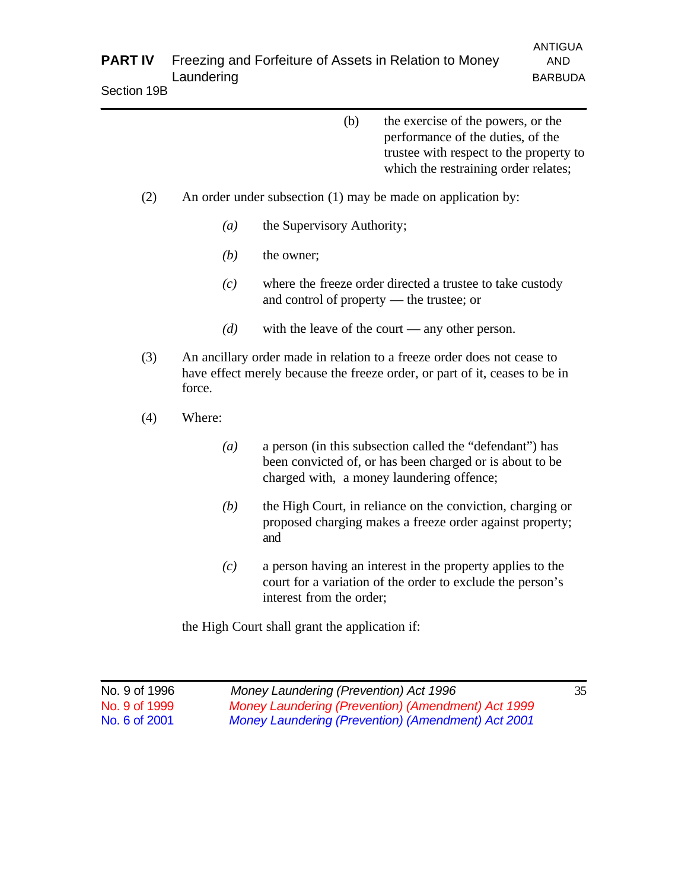| <b>PART IV</b> | Freezing and Forfeiture of Assets in Relation to Money | ANTIGUA<br>AND. |
|----------------|--------------------------------------------------------|-----------------|
|                | Laundering                                             | <b>BARBUDA</b>  |
| Section 19B    |                                                        |                 |

| (b) | the exercise of the powers, or the      |
|-----|-----------------------------------------|
|     | performance of the duties, of the       |
|     | trustee with respect to the property to |

which the restraining order relates;

- (2) An order under subsection (1) may be made on application by:
	- *(a)* the Supervisory Authority;
	- *(b)* the owner;
	- *(c)* where the freeze order directed a trustee to take custody and control of property — the trustee; or
	- *(d)* with the leave of the court any other person.
- (3) An ancillary order made in relation to a freeze order does not cease to have effect merely because the freeze order, or part of it, ceases to be in force.
- (4) Where:
	- *(a)* a person (in this subsection called the "defendant") has been convicted of, or has been charged or is about to be charged with, a money laundering offence;
	- *(b)* the High Court, in reliance on the conviction, charging or proposed charging makes a freeze order against property; and
	- *(c)* a person having an interest in the property applies to the court for a variation of the order to exclude the person's interest from the order;

the High Court shall grant the application if:

| No. 9 of 1996 | Money Laundering (Prevention) Act 1996             | 35 |
|---------------|----------------------------------------------------|----|
| No. 9 of 1999 | Money Laundering (Prevention) (Amendment) Act 1999 |    |
| No. 6 of 2001 | Money Laundering (Prevention) (Amendment) Act 2001 |    |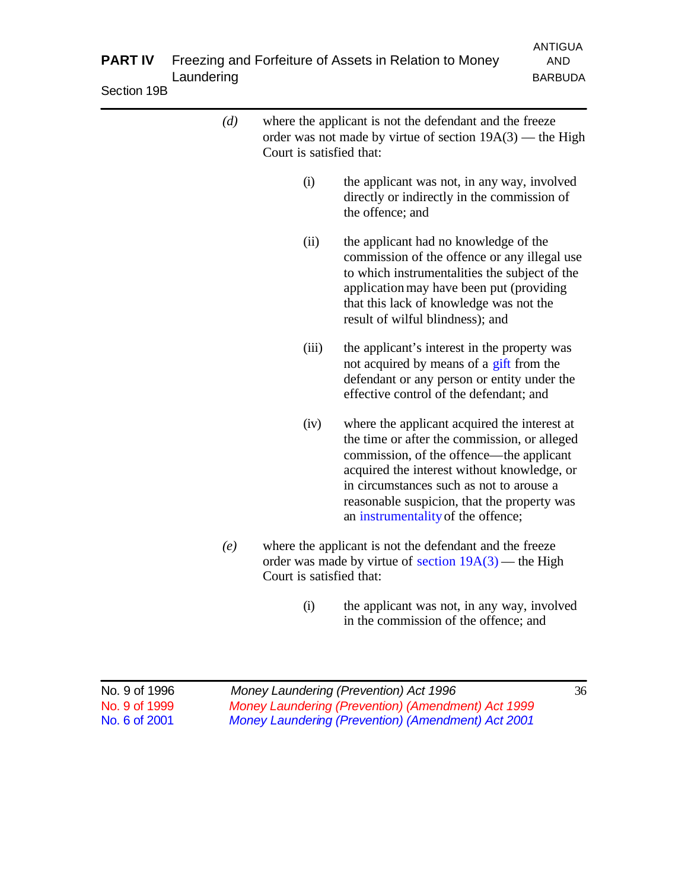| <b>PART IV</b><br>Section 19B | Laundering |                          | Freezing and Forfeiture of Assets in Relation to Money                                                                                                                                                                                                                                                                   | <b>ANTIGUA</b><br><b>AND</b><br><b>BARBUDA</b> |
|-------------------------------|------------|--------------------------|--------------------------------------------------------------------------------------------------------------------------------------------------------------------------------------------------------------------------------------------------------------------------------------------------------------------------|------------------------------------------------|
|                               | (d)        | Court is satisfied that: | where the applicant is not the defendant and the freeze<br>order was not made by virtue of section $19A(3)$ — the High                                                                                                                                                                                                   |                                                |
|                               |            | (i)                      | the applicant was not, in any way, involved<br>directly or indirectly in the commission of<br>the offence; and                                                                                                                                                                                                           |                                                |
|                               |            | (ii)                     | the applicant had no knowledge of the<br>commission of the offence or any illegal use<br>to which instrumentalities the subject of the<br>application may have been put (providing<br>that this lack of knowledge was not the<br>result of wilful blindness); and                                                        |                                                |
|                               |            | (iii)                    | the applicant's interest in the property was<br>not acquired by means of a gift from the<br>defendant or any person or entity under the<br>effective control of the defendant; and                                                                                                                                       |                                                |
|                               |            | (iv)                     | where the applicant acquired the interest at<br>the time or after the commission, or alleged<br>commission, of the offence—the applicant<br>acquired the interest without knowledge, or<br>in circumstances such as not to arouse a<br>reasonable suspicion, that the property was<br>an instrumentality of the offence; |                                                |
|                               | (e)        | Court is satisfied that: | where the applicant is not the defendant and the freeze<br>order was made by virtue of section $19A(3)$ — the High                                                                                                                                                                                                       |                                                |
|                               |            | (i)                      | the applicant was not, in any way, involved<br>in the commission of the offence; and                                                                                                                                                                                                                                     |                                                |

| No. 9 of 1996 | Money Laundering (Prevention) Act 1996             | 36 |
|---------------|----------------------------------------------------|----|
| No. 9 of 1999 | Money Laundering (Prevention) (Amendment) Act 1999 |    |
| No. 6 of 2001 | Money Laundering (Prevention) (Amendment) Act 2001 |    |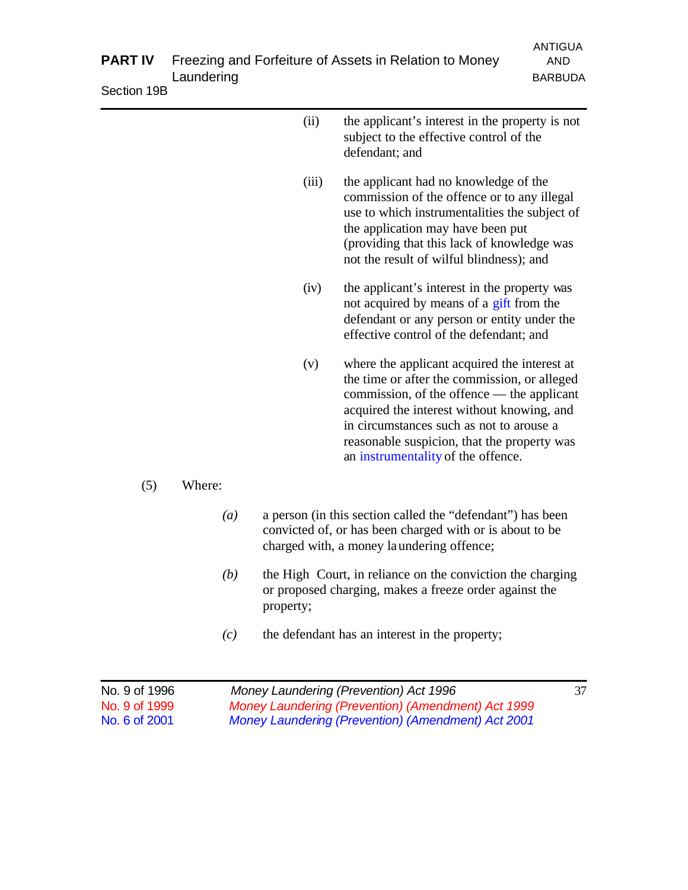| <b>PART IV</b> | Laundering       |           | Freezing and Forfeiture of Assets in Relation to Money                                                                                                                                                                                                                                                                    | <b>ANTIGUA</b><br><b>AND</b><br><b>BARBUDA</b> |
|----------------|------------------|-----------|---------------------------------------------------------------------------------------------------------------------------------------------------------------------------------------------------------------------------------------------------------------------------------------------------------------------------|------------------------------------------------|
| Section 19B    |                  |           |                                                                                                                                                                                                                                                                                                                           |                                                |
|                |                  | (ii)      | the applicant's interest in the property is not<br>subject to the effective control of the<br>defendant; and                                                                                                                                                                                                              |                                                |
|                |                  | (iii)     | the applicant had no knowledge of the<br>commission of the offence or to any illegal<br>use to which instrumentalities the subject of<br>the application may have been put<br>(providing that this lack of knowledge was<br>not the result of wilful blindness); and                                                      |                                                |
|                |                  | (iv)      | the applicant's interest in the property was<br>not acquired by means of a gift from the<br>defendant or any person or entity under the<br>effective control of the defendant; and                                                                                                                                        |                                                |
|                |                  | (v)       | where the applicant acquired the interest at<br>the time or after the commission, or alleged<br>commission, of the offence — the applicant<br>acquired the interest without knowing, and<br>in circumstances such as not to arouse a<br>reasonable suspicion, that the property was<br>an instrumentality of the offence. |                                                |
| (5)            | Where:           |           |                                                                                                                                                                                                                                                                                                                           |                                                |
|                | $\left(a\right)$ |           | a person (in this section called the "defendant") has been<br>convicted of, or has been charged with or is about to be<br>charged with, a money laundering offence;                                                                                                                                                       |                                                |
|                | (b)              | property; | the High Court, in reliance on the conviction the charging<br>or proposed charging, makes a freeze order against the                                                                                                                                                                                                      |                                                |
|                | (c)              |           | the defendant has an interest in the property;                                                                                                                                                                                                                                                                            |                                                |

| No. 9 of 1996 | Money Laundering (Prevention) Act 1996             | 37 |
|---------------|----------------------------------------------------|----|
| No. 9 of 1999 | Money Laundering (Prevention) (Amendment) Act 1999 |    |
| No. 6 of 2001 | Money Laundering (Prevention) (Amendment) Act 2001 |    |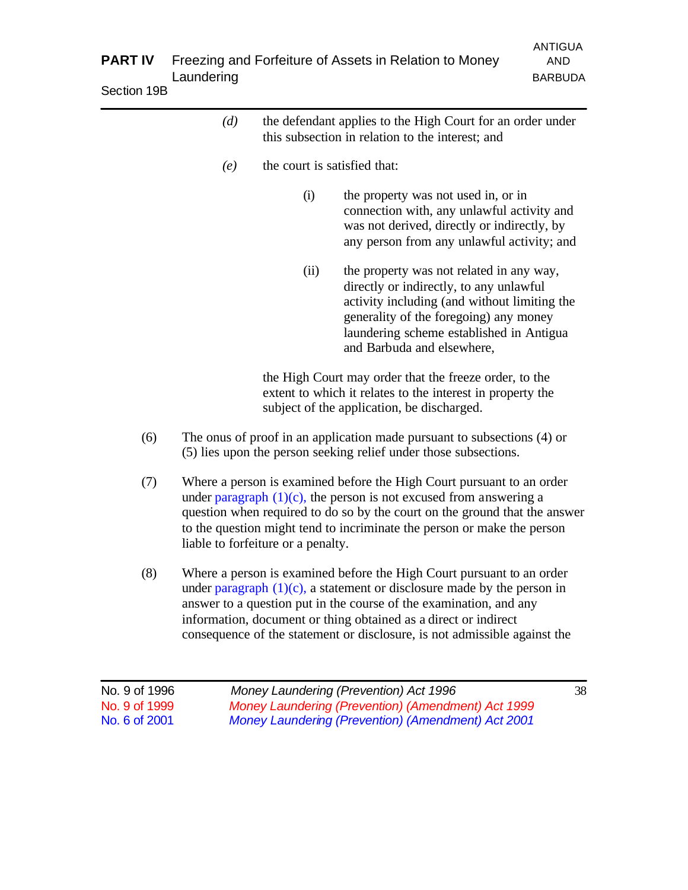| <b>PART IV</b><br>Section 19B | Laundering |                                    | Freezing and Forfeiture of Assets in Relation to Money                                                                                                                                                                                                                                                  | <b>ANTIGUA</b><br><b>AND</b><br><b>BARBUDA</b> |
|-------------------------------|------------|------------------------------------|---------------------------------------------------------------------------------------------------------------------------------------------------------------------------------------------------------------------------------------------------------------------------------------------------------|------------------------------------------------|
|                               | (d)        |                                    | the defendant applies to the High Court for an order under<br>this subsection in relation to the interest; and                                                                                                                                                                                          |                                                |
|                               | (e)        | the court is satisfied that:       |                                                                                                                                                                                                                                                                                                         |                                                |
|                               |            | (i)                                | the property was not used in, or in<br>connection with, any unlawful activity and<br>was not derived, directly or indirectly, by<br>any person from any unlawful activity; and                                                                                                                          |                                                |
|                               |            | (ii)                               | the property was not related in any way,<br>directly or indirectly, to any unlawful<br>activity including (and without limiting the<br>generality of the foregoing) any money<br>laundering scheme established in Antigua<br>and Barbuda and elsewhere,                                                 |                                                |
|                               |            |                                    | the High Court may order that the freeze order, to the<br>extent to which it relates to the interest in property the<br>subject of the application, be discharged.                                                                                                                                      |                                                |
| (6)                           |            |                                    | The onus of proof in an application made pursuant to subsections (4) or<br>(5) lies upon the person seeking relief under those subsections.                                                                                                                                                             |                                                |
| (7)                           |            | liable to forfeiture or a penalty. | Where a person is examined before the High Court pursuant to an order<br>under paragraph $(1)(c)$ , the person is not excused from answering a<br>question when required to do so by the court on the ground that the answer<br>to the question might tend to incriminate the person or make the person |                                                |
| (8)                           |            |                                    | Where a person is examined before the High Court pursuant to an order<br>rudan nomonink (1)(a), o stotomont on disologume mode by the nomen.                                                                                                                                                            |                                                |

under paragraph (1)(c), a statement or disclosure made by the person in answer to a question put in the course of the examination, and any information, document or thing obtained as a direct or indirect consequence of the statement or disclosure, is not admissible against the

| No. 9 of 1996 | Money Laundering (Prevention) Act 1996             | 38 |
|---------------|----------------------------------------------------|----|
| No. 9 of 1999 | Money Laundering (Prevention) (Amendment) Act 1999 |    |
| No. 6 of 2001 | Money Laundering (Prevention) (Amendment) Act 2001 |    |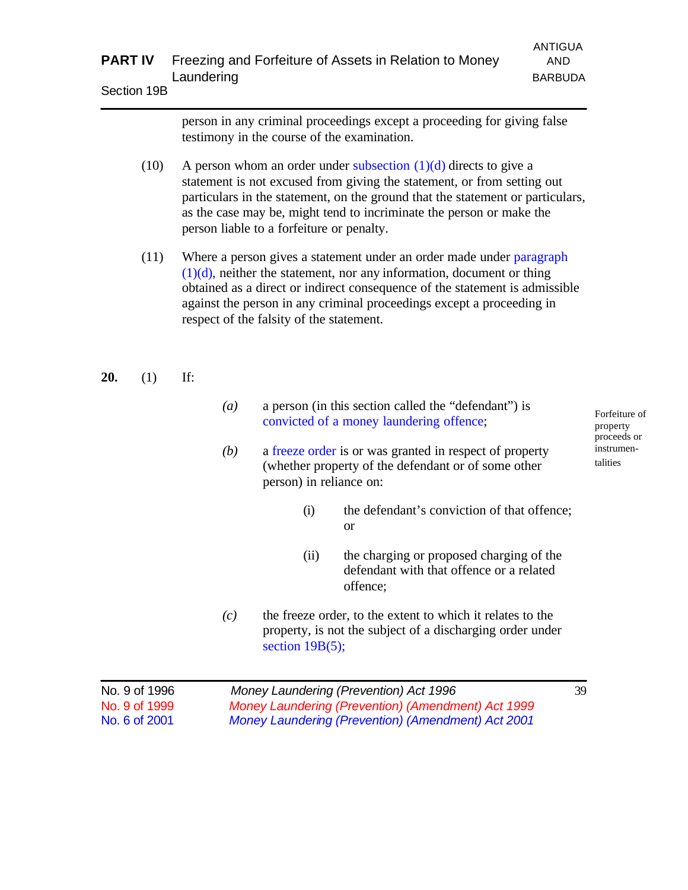|      | person in any criminal proceedings except a proceeding for giving false<br>testimony in the course of the examination.                                                                                                                                                                                                                               |
|------|------------------------------------------------------------------------------------------------------------------------------------------------------------------------------------------------------------------------------------------------------------------------------------------------------------------------------------------------------|
| (10) | A person whom an order under subsection $(1)(d)$ directs to give a<br>statement is not excused from giving the statement, or from setting out<br>particulars in the statement, on the ground that the statement or particulars,<br>as the case may be, might tend to incriminate the person or make the<br>person liable to a forfeiture or penalty. |
| (11) | Whome a negative a statement under an ender made under nege agent.                                                                                                                                                                                                                                                                                   |

(11) Where a person gives a statement under an order made under paragraph  $(1)(d)$ , neither the statement, nor any information, document or thing obtained as a direct or indirect consequence of the statement is admissible against the person in any criminal proceedings except a proceeding in respect of the falsity of the statement.

#### **20.** (1) If:

- *(a)* a person (in this section called the "defendant") is convicted of a money laundering offence;
- *(b)* a freeze order is or was granted in respect of property (whether property of the defendant or of some other person) in reliance on:
	- (i) the defendant's conviction of that offence; or
	- (ii) the charging or proposed charging of the defendant with that offence or a related offence;
- *(c)* the freeze order, to the extent to which it relates to the property, is not the subject of a discharging order under section  $19B(5)$ ;

| No. 9 of 1996 | Money Laundering (Prevention) Act 1996             | 39 |
|---------------|----------------------------------------------------|----|
| No. 9 of 1999 | Money Laundering (Prevention) (Amendment) Act 1999 |    |
| No. 6 of 2001 | Money Laundering (Prevention) (Amendment) Act 2001 |    |

Forfeiture of property proceeds or instrumentalities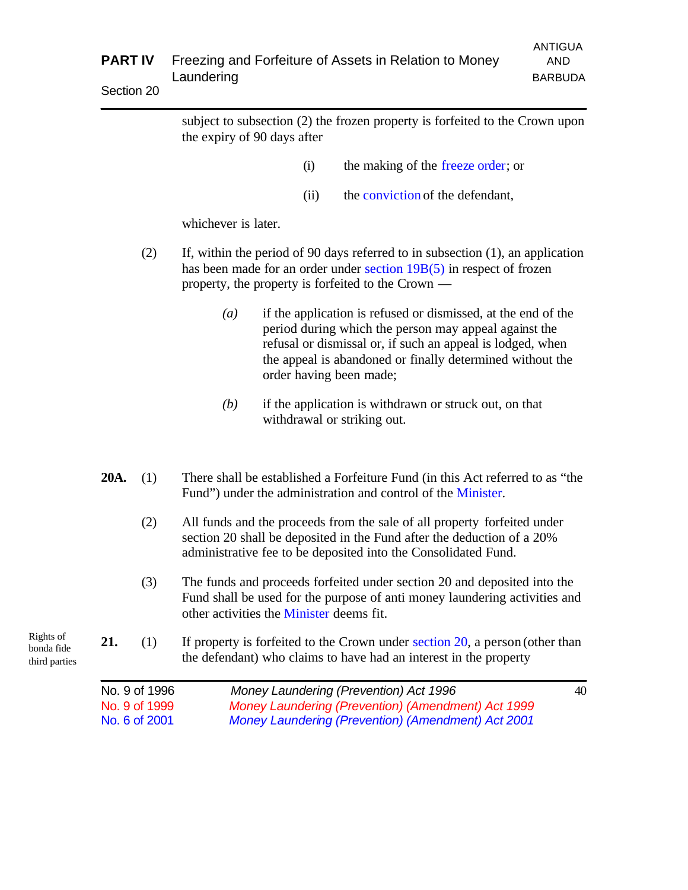|                                          | <b>PART IV</b> | <b>ANTIGUA</b><br>Freezing and Forfeiture of Assets in Relation to Money<br><b>AND</b><br>Laundering<br><b>BARBUDA</b> |                                                                                                                                                                                                                                                                                                  |    |
|------------------------------------------|----------------|------------------------------------------------------------------------------------------------------------------------|--------------------------------------------------------------------------------------------------------------------------------------------------------------------------------------------------------------------------------------------------------------------------------------------------|----|
|                                          | Section 20     |                                                                                                                        |                                                                                                                                                                                                                                                                                                  |    |
|                                          |                |                                                                                                                        | subject to subsection (2) the frozen property is forfeited to the Crown upon<br>the expiry of 90 days after                                                                                                                                                                                      |    |
|                                          |                |                                                                                                                        | the making of the freeze order; or<br>(i)                                                                                                                                                                                                                                                        |    |
|                                          |                |                                                                                                                        | the conviction of the defendant,<br>(ii)                                                                                                                                                                                                                                                         |    |
|                                          |                |                                                                                                                        | whichever is later.                                                                                                                                                                                                                                                                              |    |
|                                          |                | (2)                                                                                                                    | If, within the period of 90 days referred to in subsection $(1)$ , an application<br>has been made for an order under section $19B(5)$ in respect of frozen<br>property, the property is forfeited to the Crown $-$                                                                              |    |
|                                          |                |                                                                                                                        | if the application is refused or dismissed, at the end of the<br>$\left(a\right)$<br>period during which the person may appeal against the<br>refusal or dismissal or, if such an appeal is lodged, when<br>the appeal is abandoned or finally determined without the<br>order having been made; |    |
|                                          |                |                                                                                                                        | if the application is withdrawn or struck out, on that<br>(b)<br>withdrawal or striking out.                                                                                                                                                                                                     |    |
|                                          | 20A.           | (1)                                                                                                                    | There shall be established a Forfeiture Fund (in this Act referred to as "the<br>Fund") under the administration and control of the Minister.                                                                                                                                                    |    |
|                                          |                | (2)                                                                                                                    | All funds and the proceeds from the sale of all property forfeited under<br>section 20 shall be deposited in the Fund after the deduction of a 20%<br>administrative fee to be deposited into the Consolidated Fund.                                                                             |    |
|                                          |                | (3)                                                                                                                    | The funds and proceeds forfeited under section 20 and deposited into the<br>Fund shall be used for the purpose of anti-money laundering activities and<br>other activities the Minister deems fit.                                                                                               |    |
| Rights of<br>bonda fide<br>third parties | 21.            | (1)                                                                                                                    | If property is forfeited to the Crown under section $20$ , a person (other than<br>the defendant) who claims to have had an interest in the property                                                                                                                                             |    |
|                                          |                | No. 9 of 1996<br>No. 9 of 1999                                                                                         | Money Laundering (Prevention) Act 1996<br>Money Laundering (Prevention) (Amendment) Act 1999                                                                                                                                                                                                     | 40 |

No. 6 of 2001 *Money Laundering (Prevention) (Amendment) Act 2001*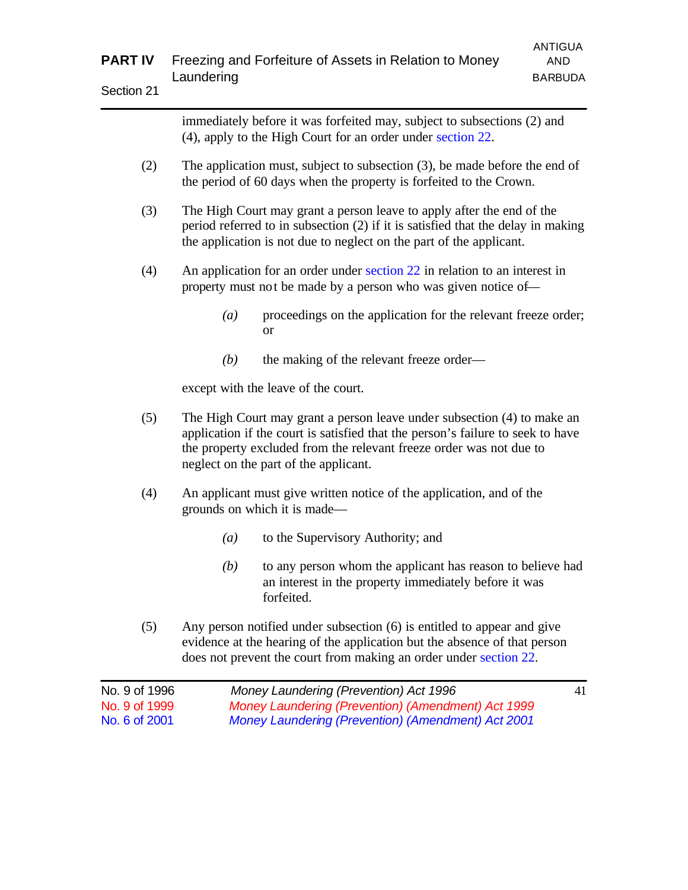|               |                                                                       | ANTIGUA |
|---------------|-----------------------------------------------------------------------|---------|
|               | <b>PART IV</b> Freezing and Forfeiture of Assets in Relation to Money | AND     |
| $\sim$ $\sim$ | Laundering                                                            | BARBUDA |

| Section 21 |  |
|------------|--|
|------------|--|

immediately before it was forfeited may, subject to subsections (2) and (4), apply to the High Court for an order under section 22.

- (2) The application must, subject to subsection (3), be made before the end of the period of 60 days when the property is forfeited to the Crown.
- (3) The High Court may grant a person leave to apply after the end of the period referred to in subsection (2) if it is satisfied that the delay in making the application is not due to neglect on the part of the applicant.
- (4) An application for an order under section 22 in relation to an interest in property must not be made by a person who was given notice of—
	- *(a)* proceedings on the application for the relevant freeze order; or
	- *(b)* the making of the relevant freeze order—

except with the leave of the court.

- (5) The High Court may grant a person leave under subsection (4) to make an application if the court is satisfied that the person's failure to seek to have the property excluded from the relevant freeze order was not due to neglect on the part of the applicant.
- (4) An applicant must give written notice of the application, and of the grounds on which it is made—
	- *(a)* to the Supervisory Authority; and
	- *(b)* to any person whom the applicant has reason to believe had an interest in the property immediately before it was forfeited.
- (5) Any person notified under subsection (6) is entitled to appear and give evidence at the hearing of the application but the absence of that person does not prevent the court from making an order under section 22.

| Money Laundering (Prevention) Act 1996             | 41 |
|----------------------------------------------------|----|
| Money Laundering (Prevention) (Amendment) Act 1999 |    |
| Money Laundering (Prevention) (Amendment) Act 2001 |    |
|                                                    |    |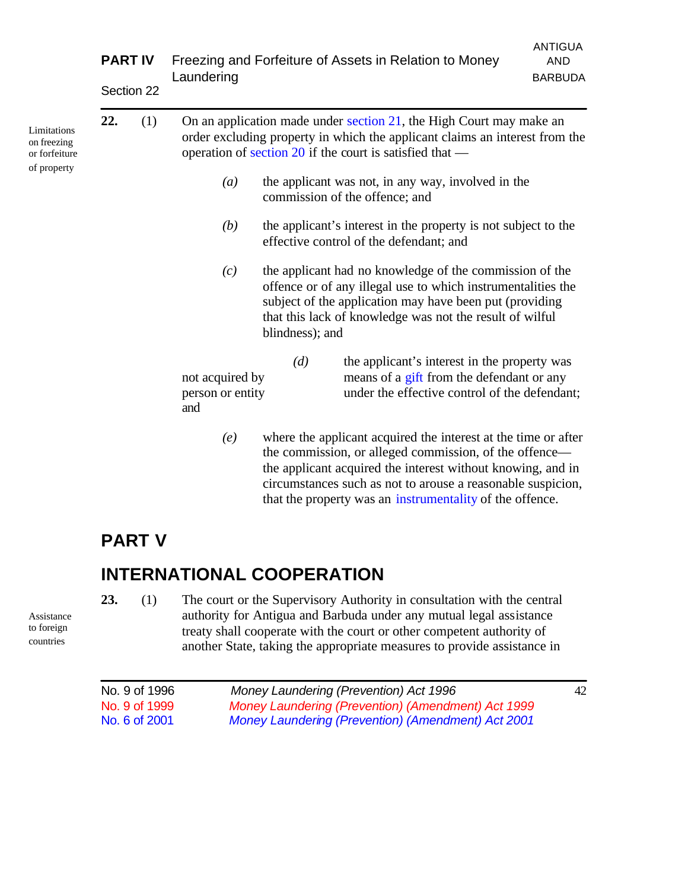|                                                            | <b>PART IV</b> | Section 22 | Laundering                                                                                                                                                                                                     | Freezing and Forfeiture of Assets in Relation to Money                                                                                                                                                                                                            | <b>ANTIGUA</b><br><b>AND</b><br><b>BARBUDA</b> |
|------------------------------------------------------------|----------------|------------|----------------------------------------------------------------------------------------------------------------------------------------------------------------------------------------------------------------|-------------------------------------------------------------------------------------------------------------------------------------------------------------------------------------------------------------------------------------------------------------------|------------------------------------------------|
| Limitations<br>on freezing<br>or forfeiture<br>of property | 22.            | (1)        | On an application made under section 21, the High Court may make an<br>order excluding property in which the applicant claims an interest from the<br>operation of section 20 if the court is satisfied that — |                                                                                                                                                                                                                                                                   |                                                |
|                                                            |                |            | $\left(a\right)$                                                                                                                                                                                               | the applicant was not, in any way, involved in the<br>commission of the offence; and                                                                                                                                                                              |                                                |
|                                                            |                |            | (b)                                                                                                                                                                                                            | the applicant's interest in the property is not subject to the<br>effective control of the defendant; and                                                                                                                                                         |                                                |
|                                                            |                |            | (c)                                                                                                                                                                                                            | the applicant had no knowledge of the commission of the<br>offence or of any illegal use to which instrumentalities the<br>subject of the application may have been put (providing<br>that this lack of knowledge was not the result of wilful<br>blindness); and |                                                |
|                                                            |                |            | not acquired by<br>person or entity<br>and                                                                                                                                                                     | (d)<br>the applicant's interest in the property was<br>means of a gift from the defendant or any<br>under the effective control of the defendant;                                                                                                                 |                                                |
|                                                            |                |            | $(\rho)$                                                                                                                                                                                                       | where the applicant acquired the interest at the time or after                                                                                                                                                                                                    |                                                |

*(e)* where the applicant acquired the interest at the time or after the commission, or alleged commission, of the offence the applicant acquired the interest without knowing, and in circumstances such as not to arouse a reasonable suspicion, that the property was an instrumentality of the offence.

## **PART V**

## **INTERNATIONAL COOPERATION**

**23.** (1) The court or the Supervisory Authority in consultation with the central authority for Antigua and Barbuda under any mutual legal assistance treaty shall cooperate with the court or other competent authority of another State, taking the appropriate measures to provide assistance in

| No. 9 of 1996 | Money Laundering (Prevention) Act 1996             | 42 |
|---------------|----------------------------------------------------|----|
| No. 9 of 1999 | Money Laundering (Prevention) (Amendment) Act 1999 |    |
| No. 6 of 2001 | Money Laundering (Prevention) (Amendment) Act 2001 |    |

Assistance to foreign countries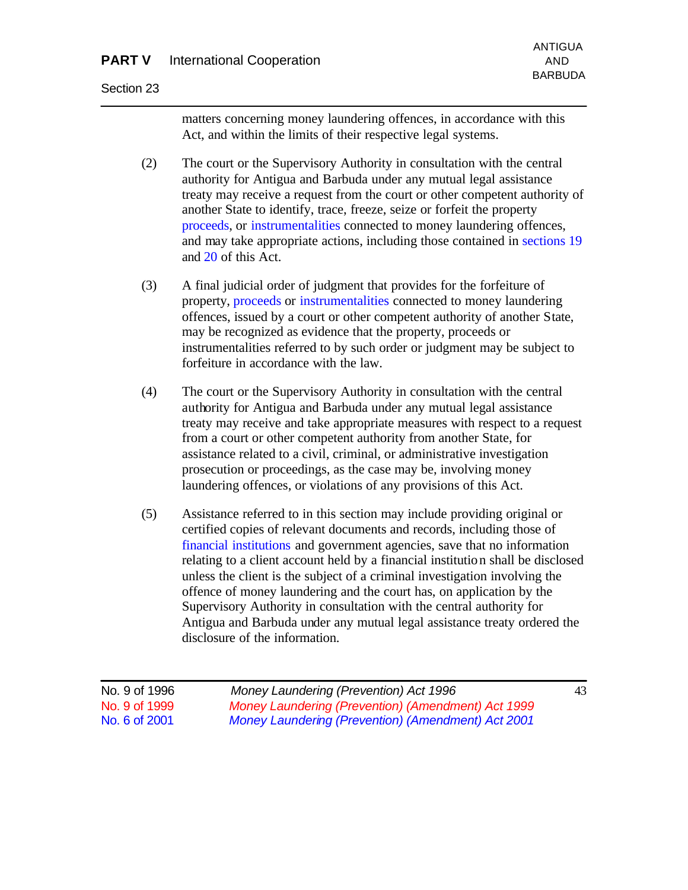### **PART V** International Cooperation AND

#### Section 23

matters concerning money laundering offences, in accordance with this Act, and within the limits of their respective legal systems.

- (2) The court or the Supervisory Authority in consultation with the central authority for Antigua and Barbuda under any mutual legal assistance treaty may receive a request from the court or other competent authority of another State to identify, trace, freeze, seize or forfeit the property proceeds, or instrumentalities connected to money laundering offences, and may take appropriate actions, including those contained in sections 19 and 20 of this Act.
- (3) A final judicial order of judgment that provides for the forfeiture of property, proceeds or instrumentalities connected to money laundering offences, issued by a court or other competent authority of another State, may be recognized as evidence that the property, proceeds or instrumentalities referred to by such order or judgment may be subject to forfeiture in accordance with the law.
- (4) The court or the Supervisory Authority in consultation with the central authority for Antigua and Barbuda under any mutual legal assistance treaty may receive and take appropriate measures with respect to a request from a court or other competent authority from another State, for assistance related to a civil, criminal, or administrative investigation prosecution or proceedings, as the case may be, involving money laundering offences, or violations of any provisions of this Act.
- (5) Assistance referred to in this section may include providing original or certified copies of relevant documents and records, including those of financial institutions and government agencies, save that no information relating to a client account held by a financial institution shall be disclosed unless the client is the subject of a criminal investigation involving the offence of money laundering and the court has, on application by the Supervisory Authority in consultation with the central authority for Antigua and Barbuda under any mutual legal assistance treaty ordered the disclosure of the information.

| No. 9 of 1996 | Money Laundering (Prevention) Act 1996             | 43 |
|---------------|----------------------------------------------------|----|
| No. 9 of 1999 | Money Laundering (Prevention) (Amendment) Act 1999 |    |
| No. 6 of 2001 | Money Laundering (Prevention) (Amendment) Act 2001 |    |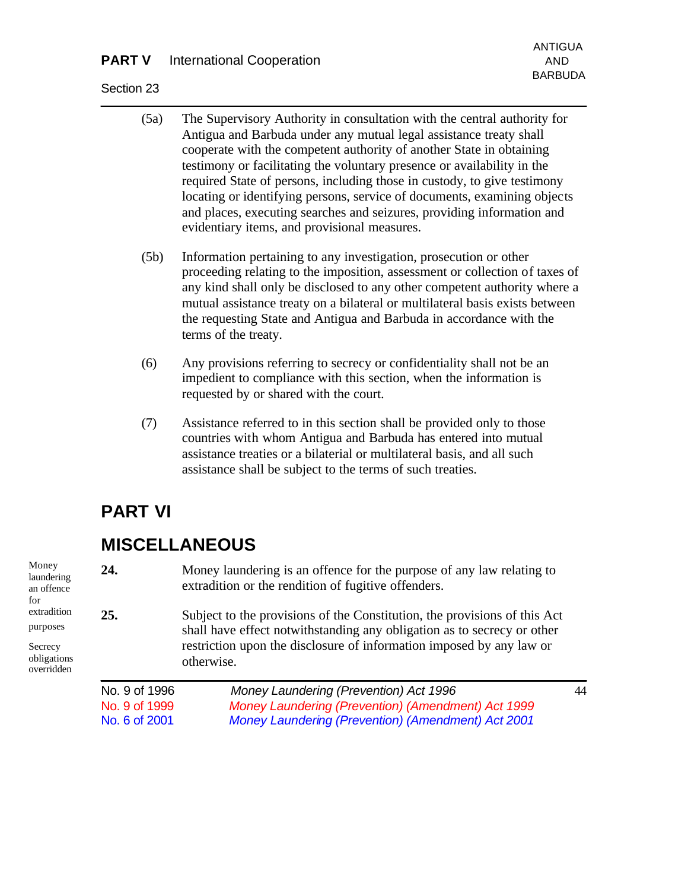### **PART V** International Cooperation AND

#### Section 23

- (5a) The Supervisory Authority in consultation with the central authority for Antigua and Barbuda under any mutual legal assistance treaty shall cooperate with the competent authority of another State in obtaining testimony or facilitating the voluntary presence or availability in the required State of persons, including those in custody, to give testimony locating or identifying persons, service of documents, examining objects and places, executing searches and seizures, providing information and evidentiary items, and provisional measures.
- (5b) Information pertaining to any investigation, prosecution or other proceeding relating to the imposition, assessment or collection of taxes of any kind shall only be disclosed to any other competent authority where a mutual assistance treaty on a bilateral or multilateral basis exists between the requesting State and Antigua and Barbuda in accordance with the terms of the treaty.
- (6) Any provisions referring to secrecy or confidentiality shall not be an impedient to compliance with this section, when the information is requested by or shared with the court.
- (7) Assistance referred to in this section shall be provided only to those countries with whom Antigua and Barbuda has entered into mutual assistance treaties or a bilaterial or multilateral basis, and all such assistance shall be subject to the terms of such treaties.

## **PART VI**

## **MISCELLANEOUS**

**24.** Money laundering is an offence for the purpose of any law relating to extradition or the rendition of fugitive offenders.

**25.** Subject to the provisions of the Constitution, the provisions of this Act shall have effect notwithstanding any obligation as to secrecy or other restriction upon the disclosure of information imposed by any law or otherwise.

| No. 9 of 1996 | Money Laundering (Prevention) Act 1996             | 44 |
|---------------|----------------------------------------------------|----|
| No. 9 of 1999 | Money Laundering (Prevention) (Amendment) Act 1999 |    |
| No. 6 of 2001 | Money Laundering (Prevention) (Amendment) Act 2001 |    |

Money laundering an offence for extradition purposes

Secrecy obligations overridden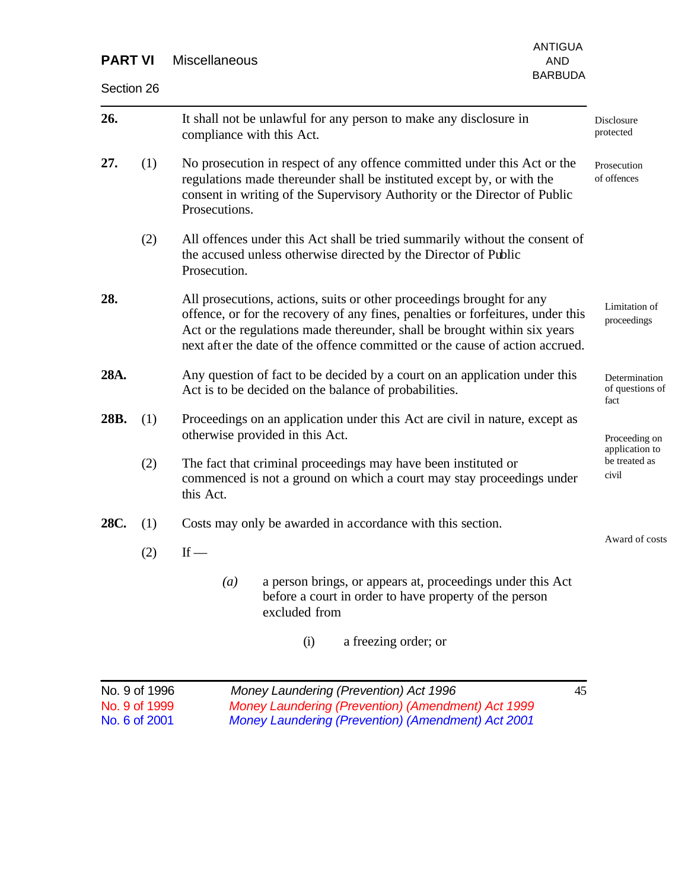| <b>PART VI</b>                                  |     | <b>ANTIGUA</b><br><b>Miscellaneous</b><br><b>AND</b>                                                                                                                                                                                                                                                                  | <b>BARBUDA</b> |                                          |  |
|-------------------------------------------------|-----|-----------------------------------------------------------------------------------------------------------------------------------------------------------------------------------------------------------------------------------------------------------------------------------------------------------------------|----------------|------------------------------------------|--|
| Section 26                                      |     |                                                                                                                                                                                                                                                                                                                       |                |                                          |  |
| 26.                                             |     | It shall not be unlawful for any person to make any disclosure in<br>compliance with this Act.                                                                                                                                                                                                                        |                | Disclosure<br>protected                  |  |
| 27.                                             | (1) | No prosecution in respect of any offence committed under this Act or the<br>regulations made thereunder shall be instituted except by, or with the<br>consent in writing of the Supervisory Authority or the Director of Public<br>Prosecutions.                                                                      |                | Prosecution<br>of offences               |  |
|                                                 | (2) | All offences under this Act shall be tried summarily without the consent of<br>the accused unless otherwise directed by the Director of Public<br>Prosecution.                                                                                                                                                        |                |                                          |  |
| 28.                                             |     | All prosecutions, actions, suits or other proceedings brought for any<br>offence, or for the recovery of any fines, penalties or forfeitures, under this<br>Act or the regulations made thereunder, shall be brought within six years<br>next after the date of the offence committed or the cause of action accrued. |                | Limitation of<br>proceedings             |  |
| 28A.                                            |     | Any question of fact to be decided by a court on an application under this<br>Act is to be decided on the balance of probabilities.                                                                                                                                                                                   |                | Determination<br>of questions of<br>fact |  |
| 28B.                                            | (1) | Proceedings on an application under this Act are civil in nature, except as<br>otherwise provided in this Act.                                                                                                                                                                                                        |                | Proceeding on<br>application to          |  |
|                                                 | (2) | be treated as<br>The fact that criminal proceedings may have been instituted or<br>civil<br>commenced is not a ground on which a court may stay proceedings under<br>this Act.                                                                                                                                        |                |                                          |  |
| 28C.                                            | (1) | Costs may only be awarded in accordance with this section.                                                                                                                                                                                                                                                            |                |                                          |  |
|                                                 | (2) | If $-$                                                                                                                                                                                                                                                                                                                |                | Award of costs                           |  |
|                                                 |     | a person brings, or appears at, proceedings under this Act<br>$\left(a\right)$<br>before a court in order to have property of the person<br>excluded from                                                                                                                                                             |                |                                          |  |
|                                                 |     | a freezing order; or<br>(i)                                                                                                                                                                                                                                                                                           |                |                                          |  |
| No. 9 of 1996<br>No. 9 of 1999<br>No. 6 of 2001 |     | Money Laundering (Prevention) Act 1996<br>Money Laundering (Prevention) (Amendment) Act 1999<br><b>Money Laundering (Prevention) (Amendment) Act 2001</b>                                                                                                                                                             | 45             |                                          |  |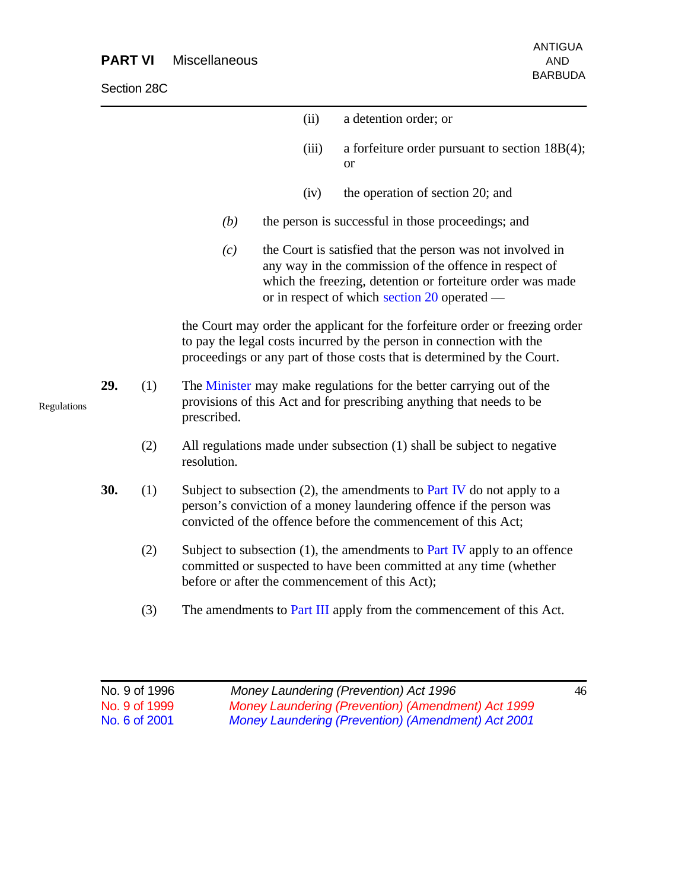### **PART VI** Miscellaneous AND

Section 28C

|             |     |     |             | (ii)  | a detention order; or                                                                                                                                                                                                              |
|-------------|-----|-----|-------------|-------|------------------------------------------------------------------------------------------------------------------------------------------------------------------------------------------------------------------------------------|
|             |     |     |             | (iii) | a forfeiture order pursuant to section $18B(4)$ ;<br><sub>or</sub>                                                                                                                                                                 |
|             |     |     |             | (iv)  | the operation of section 20; and                                                                                                                                                                                                   |
|             |     |     | (b)         |       | the person is successful in those proceedings; and                                                                                                                                                                                 |
|             |     |     | (c)         |       | the Court is satisfied that the person was not involved in<br>any way in the commission of the offence in respect of<br>which the freezing, detention or forteiture order was made<br>or in respect of which section 20 operated — |
|             |     |     |             |       | the Court may order the applicant for the forfeiture order or freezing order<br>to pay the legal costs incurred by the person in connection with the<br>proceedings or any part of those costs that is determined by the Court.    |
| Regulations | 29. | (1) | prescribed. |       | The Minister may make regulations for the better carrying out of the<br>provisions of this Act and for prescribing anything that needs to be                                                                                       |
|             |     | (2) | resolution. |       | All regulations made under subsection (1) shall be subject to negative                                                                                                                                                             |
|             | 30. | (1) |             |       | Subject to subsection $(2)$ , the amendments to Part IV do not apply to a<br>person's conviction of a money laundering offence if the person was<br>convicted of the offence before the commencement of this Act;                  |
|             |     | (2) |             |       | Subject to subsection $(1)$ , the amendments to Part IV apply to an offence<br>committed or suspected to have been committed at any time (whether<br>before or after the commencement of this Act);                                |
|             |     | (3) |             |       | The amendments to Part III apply from the commencement of this Act.                                                                                                                                                                |

| No. 9 of 1996 | Money Laundering (Prevention) Act 1996             | 46 |
|---------------|----------------------------------------------------|----|
| No. 9 of 1999 | Money Laundering (Prevention) (Amendment) Act 1999 |    |
| No. 6 of 2001 | Money Laundering (Prevention) (Amendment) Act 2001 |    |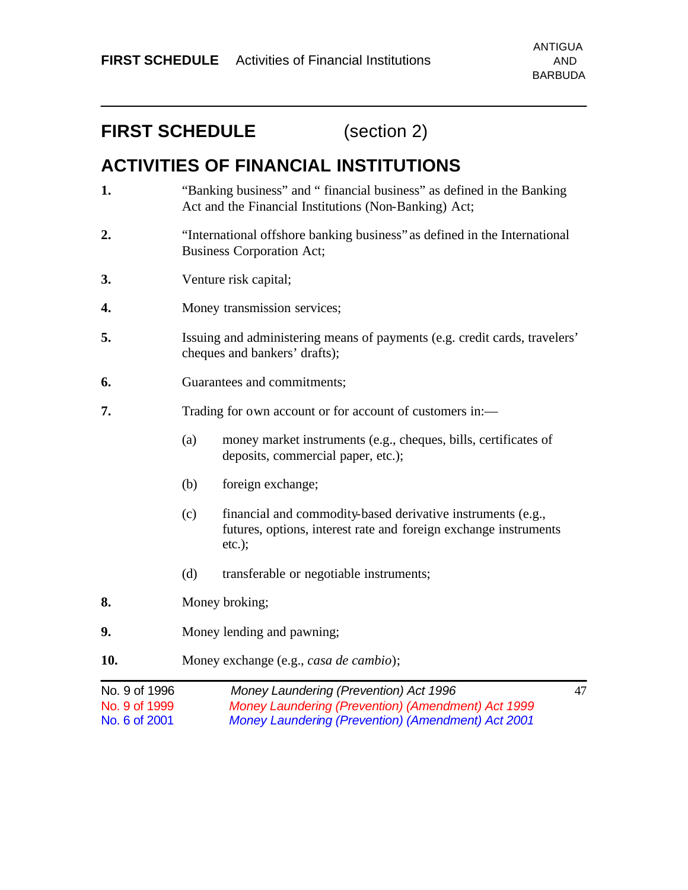## **FIRST SCHEDULE** (section 2)

## **ACTIVITIES OF FINANCIAL INSTITUTIONS**

- **1.** "Banking business" and " financial business" as defined in the Banking Act and the Financial Institutions (Non-Banking) Act;
- **2.** "International offshore banking business" as defined in the International Business Corporation Act;
- **3.** Venture risk capital;
- **4.** Money transmission services;
- **5.** Issuing and administering means of payments (e.g. credit cards, travelers' cheques and bankers' drafts);
- **6.** Guarantees and commitments;
- **7.** Trading for own account or for account of customers in:
	- (a) money market instruments (e.g., cheques, bills, certificates of deposits, commercial paper, etc.);
	- (b) foreign exchange;
	- (c) financial and commodity-based derivative instruments (e.g., futures, options, interest rate and foreign exchange instruments etc.);
	- (d) transferable or negotiable instruments;
- **8.** Money broking;
- **9.** Money lending and pawning;
- **10.** Money exchange (e.g., *casa de cambio*);

| No. 9 of 1996 | Money Laundering (Prevention) Act 1996             | 47 |
|---------------|----------------------------------------------------|----|
| No. 9 of 1999 | Money Laundering (Prevention) (Amendment) Act 1999 |    |
| No. 6 of 2001 | Money Laundering (Prevention) (Amendment) Act 2001 |    |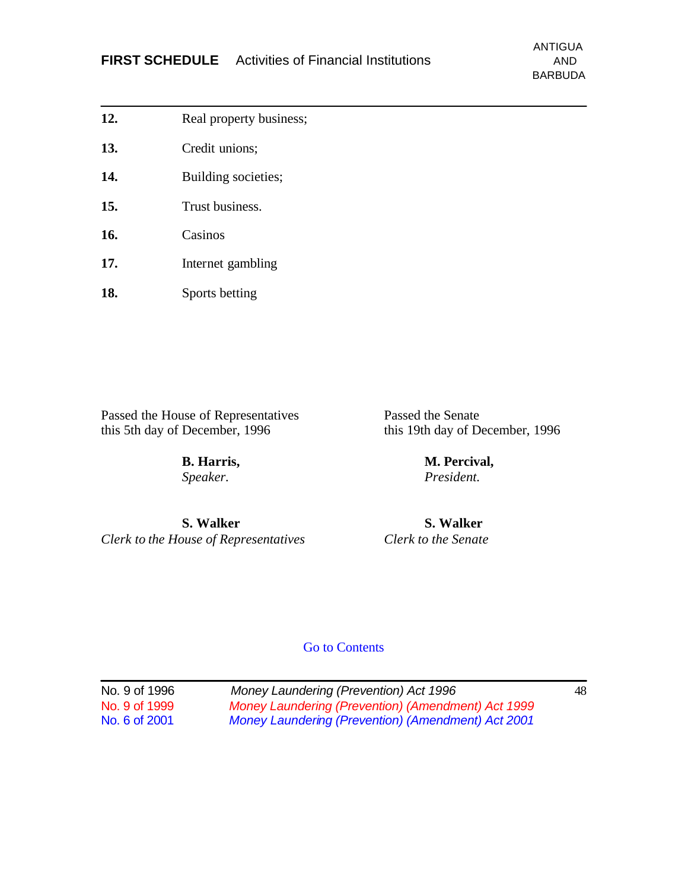- **12.** Real property business;
- **13.** Credit unions;
- 14. Building societies;
- **15.** Trust business.
- **16.** Casinos
- **17.** Internet gambling
- **18.** Sports betting

Passed the House of Representatives<br>this 5th day of December, 1996<br>this 19th day of December, 1996

*Speaker. President.*

this 19th day of December, 1996

**B. Harris, M. Percival,**

**S. Walker S. Walker** *Clerk to the House of Representatives Clerk to the Senate*

Go to Contents

| No. 9 of 1996 | Money Laundering (Prevention) Act 1996                    | 48 |
|---------------|-----------------------------------------------------------|----|
| No. 9 of 1999 | Money Laundering (Prevention) (Amendment) Act 1999        |    |
| No. 6 of 2001 | <b>Money Laundering (Prevention) (Amendment) Act 2001</b> |    |